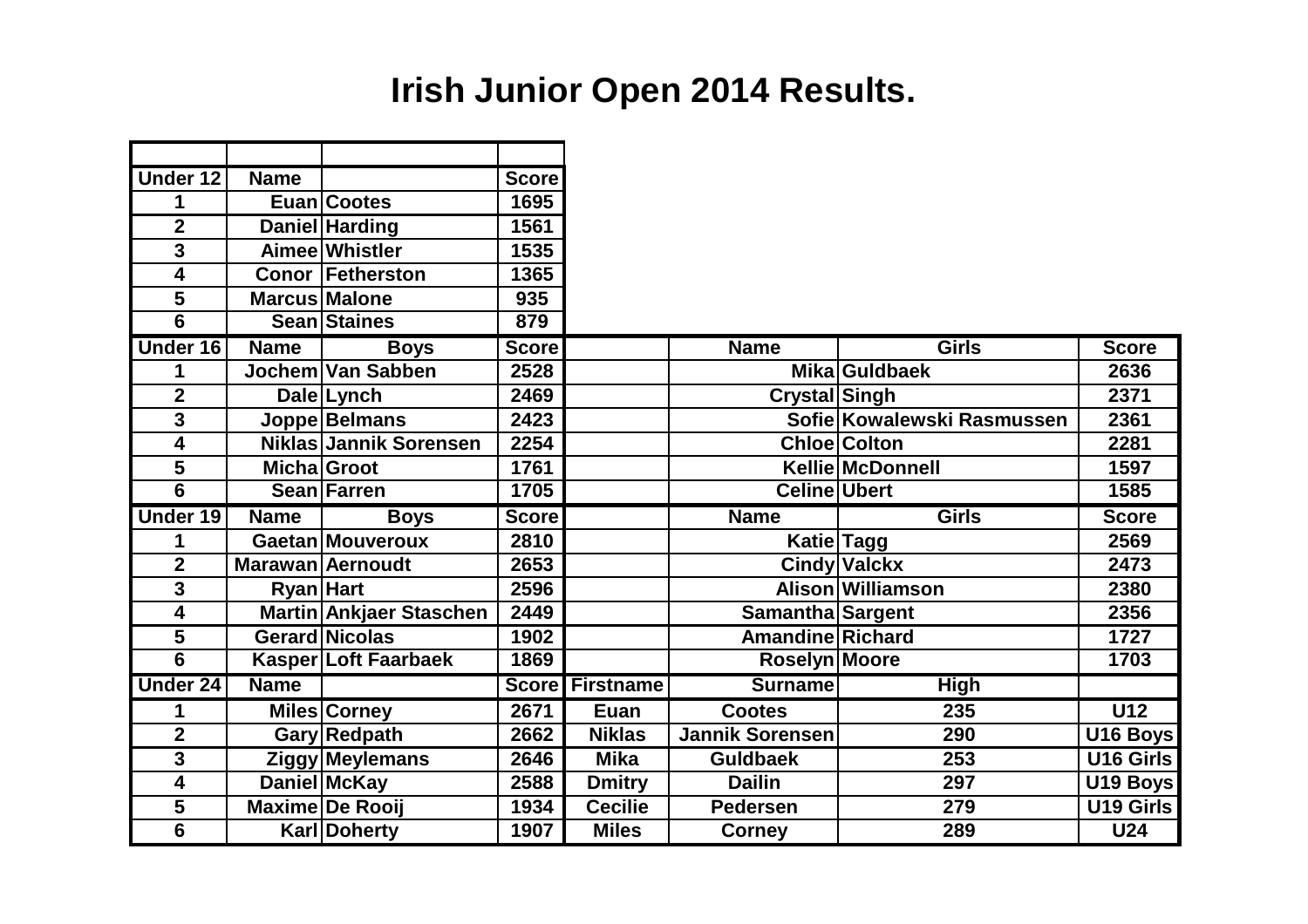# **Irish Junior Open 2014 Results.**

| Under 12                | <b>Name</b>      |                         | <b>Score</b> |                        |                                             |                            |                      |
|-------------------------|------------------|-------------------------|--------------|------------------------|---------------------------------------------|----------------------------|----------------------|
| 1                       |                  | <b>Euan Cootes</b>      | 1695         |                        |                                             |                            |                      |
| $\mathbf 2$             |                  | Daniel Harding          | 1561         |                        |                                             |                            |                      |
| 3                       |                  | Aimee Whistler          | 1535         |                        |                                             |                            |                      |
| 4                       |                  | <b>Conor Fetherston</b> | 1365         |                        |                                             |                            |                      |
| 5                       |                  | <b>Marcus Malone</b>    | 935          |                        |                                             |                            |                      |
| $\overline{6}$          |                  | <b>Sean Staines</b>     | 879          |                        |                                             |                            |                      |
| Under 16                | <b>Name</b>      | <b>Boys</b>             | <b>Score</b> |                        | <b>Name</b>                                 | <b>Girls</b>               | <b>Score</b>         |
| 1                       |                  | Jochem Van Sabben       | 2528         |                        |                                             | <b>MikalGuldbaek</b>       | 2636                 |
| $\overline{2}$          |                  | <b>Dale Lynch</b>       | 2469         |                        | Crystal Singh                               |                            | 2371                 |
| $\overline{3}$          |                  | Joppe Belmans           | 2423         |                        |                                             | Sofie Kowalewski Rasmussen | 2361                 |
| 4                       |                  | Niklas Jannik Sorensen  | 2254         |                        |                                             | <b>Chloe Colton</b>        | 2281                 |
| $\overline{\mathbf{5}}$ |                  | <b>Micha</b> Groot      | 1761         |                        |                                             | <b>Kellie McDonnell</b>    | 1597                 |
| $\overline{6}$          |                  | <b>Sean Farren</b>      | 1705         |                        | <b>Celine Ubert</b>                         |                            | 1585                 |
|                         |                  |                         |              |                        |                                             |                            |                      |
| Under 19                | <b>Name</b>      | <b>Boys</b>             | <b>Score</b> |                        | <b>Name</b>                                 | <b>Girls</b>               | <b>Score</b>         |
| 1                       |                  | <b>Gaetan Mouveroux</b> | 2810         |                        |                                             | <b>Katie Tagg</b>          | 2569                 |
| $\mathbf 2$             |                  | Marawan Aernoudt        | 2653         |                        |                                             | <b>Cindy Valckx</b>        | 2473                 |
| 3                       | <b>Ryan</b> Hart |                         | 2596         |                        |                                             | Alison Williamson          | 2380                 |
| 4                       |                  | Martin Ankjaer Staschen | 2449         |                        |                                             |                            | 2356                 |
| 5                       |                  | Gerard Nicolas          | 1902         |                        | Samantha Sargent<br><b>Amandine Richard</b> |                            | 1727                 |
| $\overline{6}$          |                  | Kasper Loft Faarbaek    | 1869         |                        | <b>Roselyn Moore</b>                        |                            | 1703                 |
| <b>Under 24</b>         | <b>Name</b>      |                         |              | <b>Score Firstname</b> | <b>Surname</b>                              | <b>High</b>                |                      |
| 1                       |                  | Miles Corney            | 2671         | Euan                   | <b>Cootes</b>                               | $\overline{235}$           | $\overline{U12}$     |
| $\overline{2}$          |                  | <b>Gary Redpath</b>     | 2662         | <b>Niklas</b>          | <b>Jannik Sorensen</b>                      | 290                        | U16 Boys             |
| $\overline{3}$          |                  | <b>Ziggy Meylemans</b>  | 2646         | <b>Mika</b>            | <b>Guldbaek</b>                             | 253                        | U16 Girls            |
| 4                       |                  | <b>Daniel McKay</b>     | 2588         | <b>Dmitry</b>          | <b>Dailin</b>                               | 297                        | U <sub>19</sub> Boys |
| 5                       |                  | <b>Maxime De Rooij</b>  | 1934         | <b>Cecilie</b>         | <b>Pedersen</b>                             | 279                        | U19 Girls            |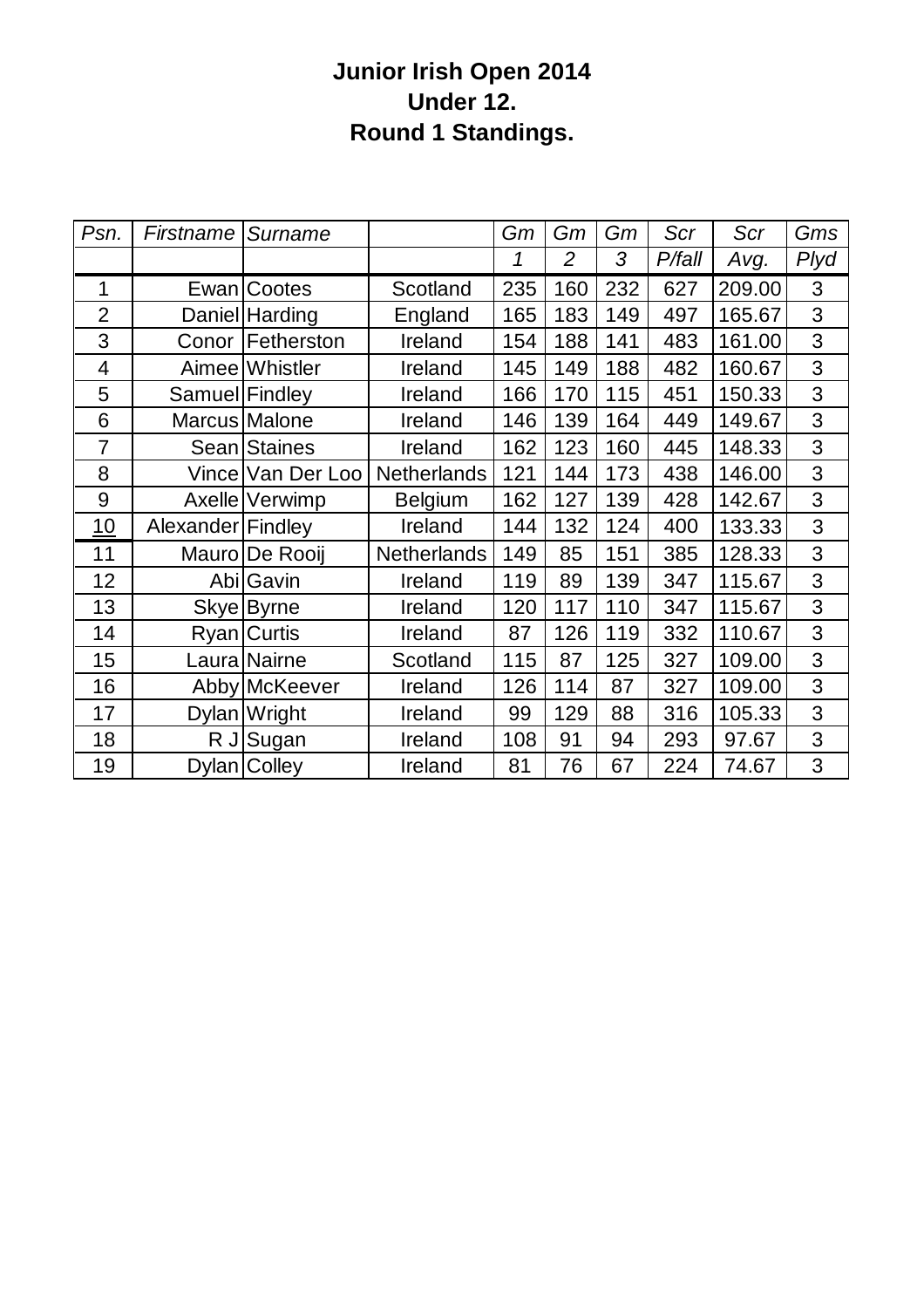### **Junior Irish Open 2014 Under 12. Round 1 Standings.**

| Psn.           | <b>Firstname</b>  | Surname             |                    | Gm  | Gm             | Gm  | Scr    | Scr    | Gms  |
|----------------|-------------------|---------------------|--------------------|-----|----------------|-----|--------|--------|------|
|                |                   |                     |                    | 1   | $\overline{2}$ | 3   | P/fall | Avg.   | Plyd |
| 1              |                   | Ewan Cootes         | Scotland           | 235 | 160            | 232 | 627    | 209.00 | 3    |
| $\overline{2}$ |                   | Daniel Harding      | England            | 165 | 183            | 149 | 497    | 165.67 | 3    |
| 3              |                   | Conor Fetherston    | Ireland            | 154 | 188            | 141 | 483    | 161.00 | 3    |
| $\overline{4}$ |                   | Aimee Whistler      | Ireland            | 145 | 149            | 188 | 482    | 160.67 | 3    |
| 5              |                   | Samuel Findley      | Ireland            | 166 | 170            | 115 | 451    | 150.33 | 3    |
| 6              |                   | Marcus Malone       | Ireland            | 146 | 139            | 164 | 449    | 149.67 | 3    |
| $\overline{7}$ |                   | <b>Sean</b> Staines | Ireland            | 162 | 123            | 160 | 445    | 148.33 | 3    |
| 8              |                   | Vince Van Der Loo   | <b>Netherlands</b> | 121 | 144            | 173 | 438    | 146.00 | 3    |
| 9              |                   | Axelle Verwimp      | <b>Belgium</b>     | 162 | 127            | 139 | 428    | 142.67 | 3    |
| 10             | Alexander Findley |                     | Ireland            | 144 | 132            | 124 | 400    | 133.33 | 3    |
| 11             |                   | Mauro De Rooij      | <b>Netherlands</b> | 149 | 85             | 151 | 385    | 128.33 | 3    |
| 12             |                   | Abi Gavin           | Ireland            | 119 | 89             | 139 | 347    | 115.67 | 3    |
| 13             |                   | Skye Byrne          | Ireland            | 120 | 117            | 110 | 347    | 115.67 | 3    |
| 14             |                   | Ryan Curtis         | Ireland            | 87  | 126            | 119 | 332    | 110.67 | 3    |
| 15             |                   | Laura Nairne        | Scotland           | 115 | 87             | 125 | 327    | 109.00 | 3    |
| 16             |                   | Abby McKeever       | Ireland            | 126 | 114            | 87  | 327    | 109.00 | 3    |
| 17             |                   | Dylan Wright        | Ireland            | 99  | 129            | 88  | 316    | 105.33 | 3    |
| 18             |                   | R J Sugan           | Ireland            | 108 | 91             | 94  | 293    | 97.67  | 3    |
| 19             |                   | Dylan Colley        | Ireland            | 81  | 76             | 67  | 224    | 74.67  | 3    |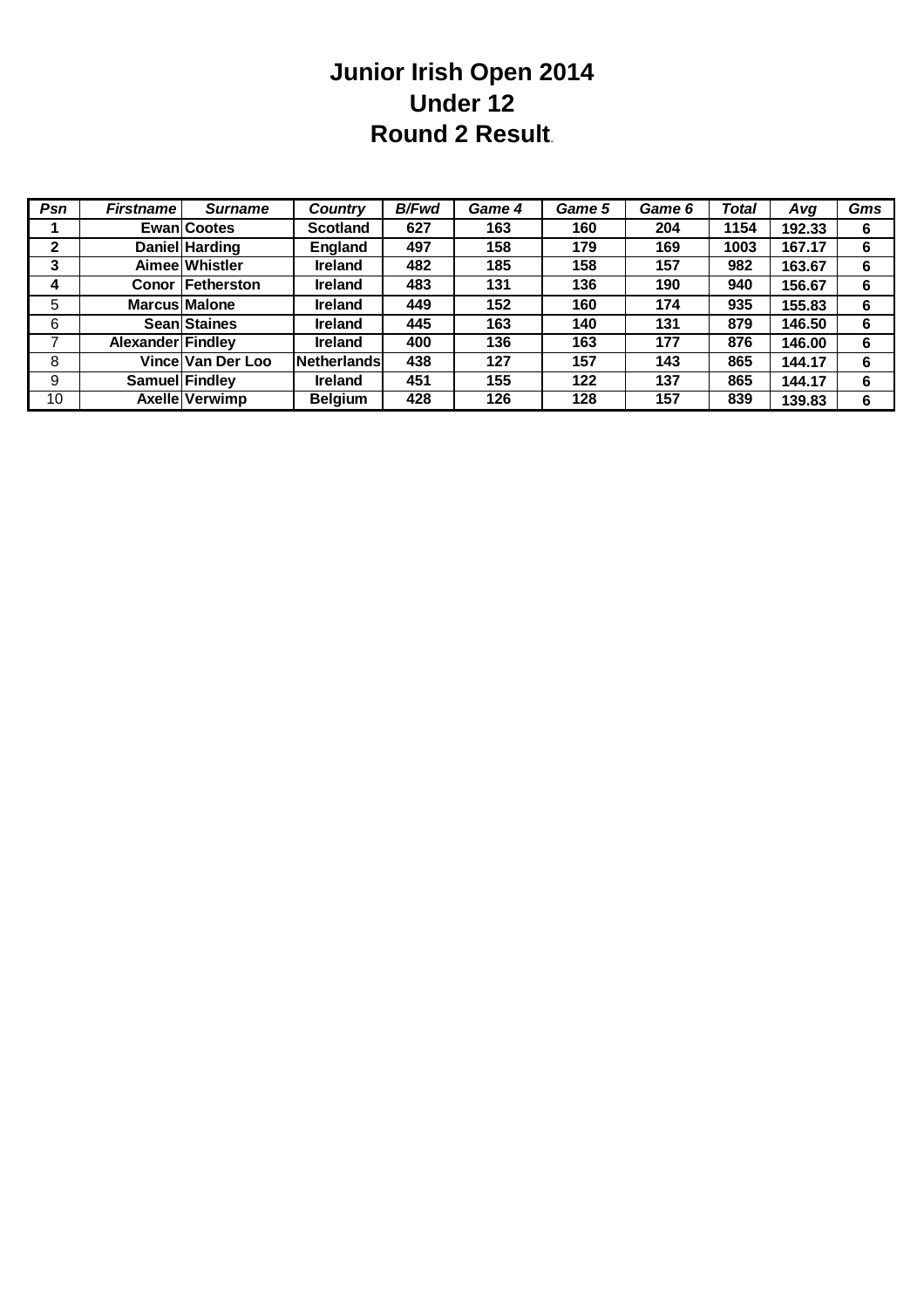#### **Junior Irish Open 2014 Under 12 Round 2 Result**.

| Psn          | <b>Firstname</b>  | <b>Surname</b>          | <b>Country</b>  | <b>B/Fwd</b> | Game 4 | Game 5 | Game 6 | <b>Total</b> | Avg    | Gms |
|--------------|-------------------|-------------------------|-----------------|--------------|--------|--------|--------|--------------|--------|-----|
|              |                   | <b>Ewan</b> Cootes      | <b>Scotland</b> | 627          | 163    | 160    | 204    | 1154         | 192.33 | 6   |
| $\mathbf{2}$ |                   | <b>Daniel Harding</b>   | England         | 497          | 158    | 179    | 169    | 1003         | 167.17 | 6   |
| 3            |                   | Aimee Whistler          | <b>Ireland</b>  | 482          | 185    | 158    | 157    | 982          | 163.67 | 6   |
| 4            |                   | <b>Conor Fetherston</b> | <b>Ireland</b>  | 483          | 131    | 136    | 190    | 940          | 156.67 | 6   |
| 5            |                   | <b>Marcus Malone</b>    | <b>Ireland</b>  | 449          | 152    | 160    | 174    | 935          | 155.83 | 6   |
| 6            |                   | Sean Staines            | <b>Ireland</b>  | 445          | 163    | 140    | 131    | 879          | 146.50 | 6   |
|              | Alexander Findley |                         | <b>Ireland</b>  | 400          | 136    | 163    | 177    | 876          | 146.00 | 6   |
| 8            |                   | Vince Van Der Loo       | Netherlands     | 438          | 127    | 157    | 143    | 865          | 144.17 | 6   |
| 9            | Samuel Findley    |                         | <b>Ireland</b>  | 451          | 155    | 122    | 137    | 865          | 144.17 | 6   |
| 10           |                   | Axelle Verwimp          | <b>Belgium</b>  | 428          | 126    | 128    | 157    | 839          | 139.83 | 6   |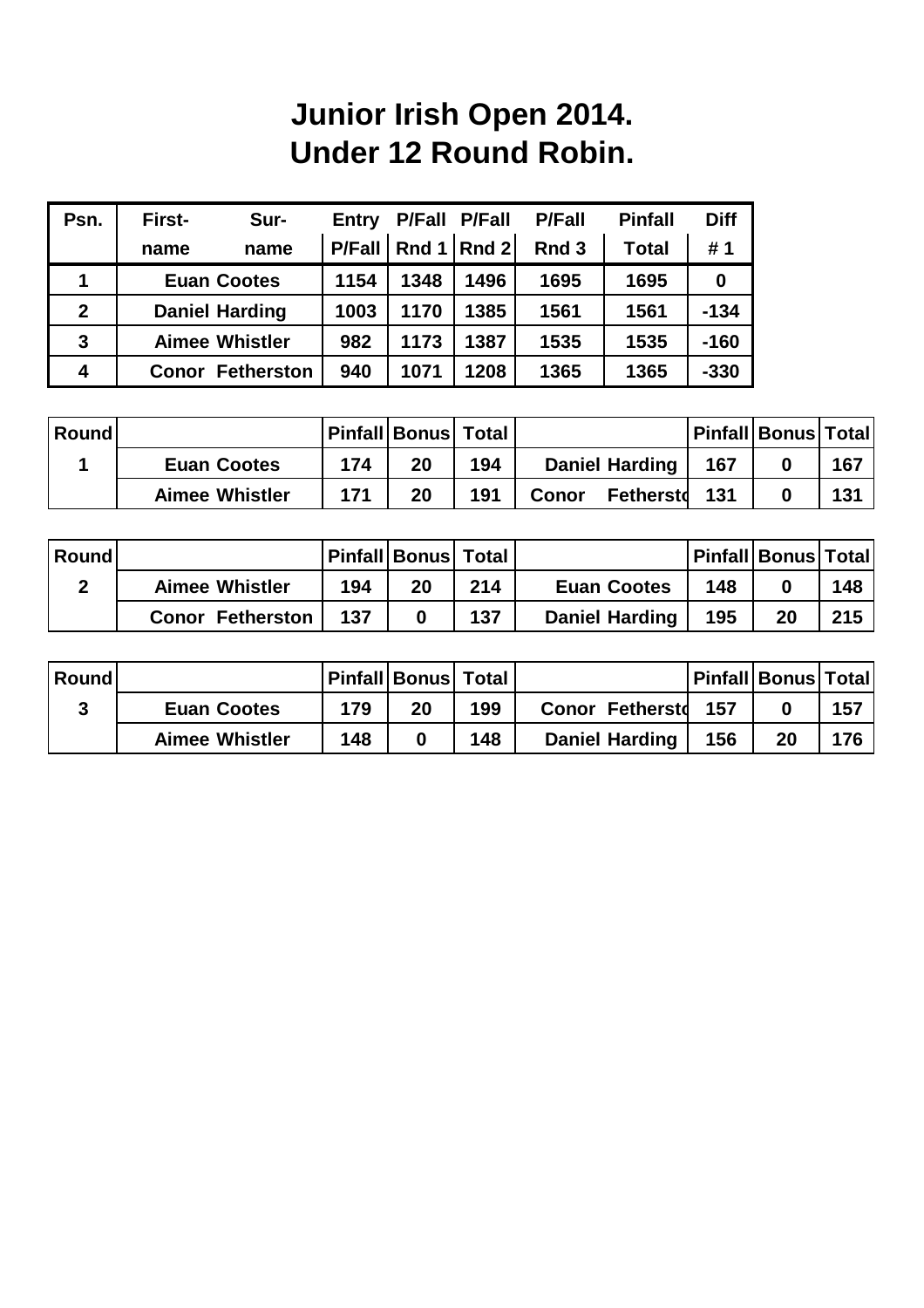# **Junior Irish Open 2014. Under 12 Round Robin.**

| Psn.         | First-                | Sur-                  | Entry         |          | P/Fall P/Fall | <b>P/Fall</b>    | <b>Pinfall</b> | <b>Diff</b> |
|--------------|-----------------------|-----------------------|---------------|----------|---------------|------------------|----------------|-------------|
|              | name                  | name                  | <b>P/Fall</b> | Rnd $11$ | Rnd 2         | Rnd <sub>3</sub> | <b>Total</b>   | #1          |
|              |                       | <b>Euan Cootes</b>    | 1154          | 1348     | 1496          | 1695             | 1695           | 0           |
| $\mathbf{2}$ | <b>Daniel Harding</b> |                       | 1003          | 1170     | 1385          | 1561             | 1561           | $-134$      |
| 3            |                       | <b>Aimee Whistler</b> | 982           | 1173     | 1387          | 1535             | 1535           | $-160$      |
| 4            | <b>Conor</b>          | <b>Fetherston</b>     | 940           | 1071     | 1208          | 1365             | 1365           | $-330$      |

| <b>Round</b> |                       |     | <b>IPinfall Bonus Total</b> |     |                                  |     | <b>Pinfall Bonus Total</b> |     |
|--------------|-----------------------|-----|-----------------------------|-----|----------------------------------|-----|----------------------------|-----|
|              | <b>Euan Cootes</b>    | 174 | 20                          | 194 | <b>Daniel Harding</b>            | 167 |                            | 167 |
|              | <b>Aimee Whistler</b> | 171 | 20                          | 191 | <b>Fetherstd</b><br><b>Conor</b> | 131 |                            | 131 |

| Round |                         |     | Pinfall   Bonus   Total ' |     |                       |     | <b>Pinfall Bonus Total</b> |     |
|-------|-------------------------|-----|---------------------------|-----|-----------------------|-----|----------------------------|-----|
|       | <b>Aimee Whistler</b>   | 194 | 20                        | 214 | <b>Euan Cootes</b>    | 148 |                            | 148 |
|       | <b>Conor Fetherston</b> | 137 |                           | 137 | <b>Daniel Harding</b> | 195 | 20                         | 215 |

| <b>Round</b> |                       |     | <b>Pinfall Bonus Total</b> |     |                        |     | <b>Pinfall Bonus Total</b> |     |
|--------------|-----------------------|-----|----------------------------|-----|------------------------|-----|----------------------------|-----|
|              | <b>Euan Cootes</b>    | 179 | 20                         | 199 | <b>Conor Fetherstd</b> | 157 |                            | 157 |
|              | <b>Aimee Whistler</b> | 148 |                            | 148 | <b>Daniel Harding</b>  | 156 | 20                         | 176 |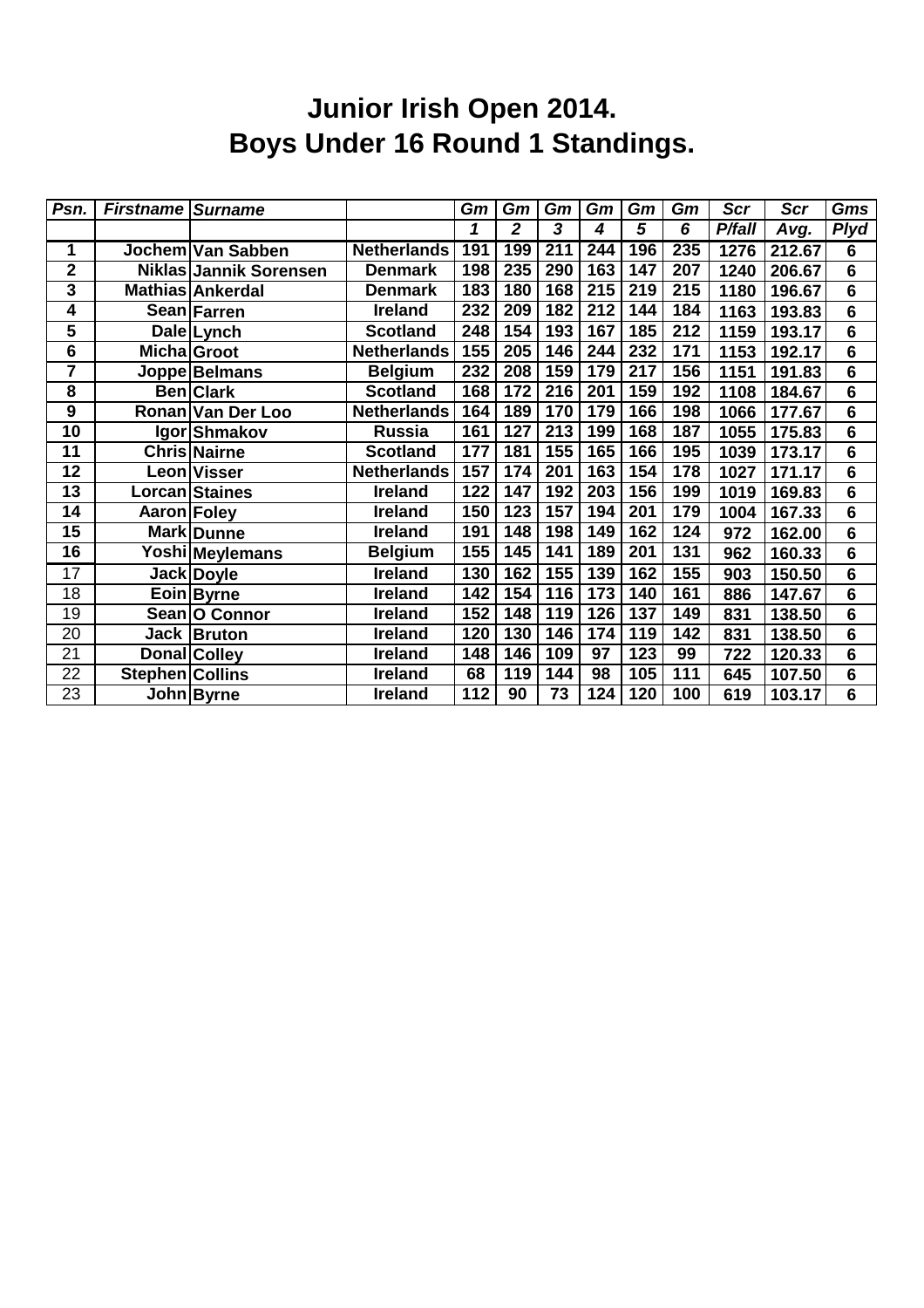# **Junior Irish Open 2014. Boys Under 16 Round 1 Standings.**

| Psn.                    | <b>Firstname Surname</b> |                        |                    | Gm  | Gm             | Gm  | Gm  | Gm  | Gm               | Scr    | <b>Scr</b> | Gms                     |
|-------------------------|--------------------------|------------------------|--------------------|-----|----------------|-----|-----|-----|------------------|--------|------------|-------------------------|
|                         |                          |                        |                    | 1   | $\overline{2}$ | 3   | 4   | 5   | 6                | P/fall | Avg.       | <b>Plyd</b>             |
| 1                       |                          | Jochem Van Sabben      | <b>Netherlands</b> | 191 | 199            | 211 | 244 | 196 | 235              | 1276   | 212.67     | 6                       |
| $\overline{2}$          |                          | Niklas Jannik Sorensen | <b>Denmark</b>     | 198 | 235            | 290 | 163 | 147 | 207              | 1240   | 206.67     | 6                       |
| $\overline{\mathbf{3}}$ |                          | Mathias Ankerdal       | <b>Denmark</b>     | 183 | 180            | 168 | 215 | 219 | 215              | 1180   | 196.67     | $6\phantom{1}$          |
| 4                       |                          | Sean Farren            | <b>Ireland</b>     | 232 | 209            | 182 | 212 | 144 | 184              | 1163   | 193.83     | $6\phantom{1}6$         |
| 5                       |                          | Dale Lynch             | <b>Scotland</b>    | 248 | 154            | 193 | 167 | 185 | 212              | 1159   | 193.17     | 6                       |
| 6                       | Micha Groot              |                        | <b>Netherlands</b> | 155 | 205            | 146 | 244 | 232 | 171              | 1153   | 192.17     | $6\phantom{1}$          |
| 7                       |                          | Joppe Belmans          | <b>Belgium</b>     | 232 | 208            | 159 | 179 | 217 | 156              | 1151   | 191.83     | $6\phantom{1}$          |
| 8                       |                          | <b>Ben</b> Clark       | <b>Scotland</b>    | 168 | 172            | 216 | 201 | 159 | 192              | 1108   | 184.67     | 6                       |
| 9                       |                          | Ronan Van Der Loo      | <b>Netherlands</b> | 164 | 189            | 170 | 179 | 166 | 198              | 1066   | 177.67     | 6                       |
| 10                      |                          | Igor Shmakov           | Russia             | 161 | 127            | 213 | 199 | 168 | 187              | 1055   | 175.83     | $6\phantom{1}$          |
| 11                      |                          | <b>Chris Nairne</b>    | <b>Scotland</b>    | 177 | 181            | 155 | 165 | 166 | 195              | 1039   | 173.17     | 6                       |
| 12                      |                          | Leon Visser            | <b>Netherlands</b> | 157 | 174            | 201 | 163 | 154 | 178              | 1027   | 171.17     | $6\phantom{1}6$         |
| 13                      |                          | Lorcan Staines         | <b>Ireland</b>     | 122 | 147            | 192 | 203 | 156 | 199              | 1019   | 169.83     | $6\phantom{1}$          |
| $\overline{14}$         | Aaron Foley              |                        | <b>Ireland</b>     | 150 | 123            | 157 | 194 | 201 | 179              | 1004   | 167.33     | $\overline{\mathbf{6}}$ |
| 15                      |                          | Mark Dunne             | <b>Ireland</b>     | 191 | 148            | 198 | 149 | 162 | 124              | 972    | 162.00     | $6\phantom{1}$          |
| $\overline{16}$         |                          | Yoshi Meylemans        | <b>Belgium</b>     | 155 | 145            | 141 | 189 | 201 | 131              | 962    | 160.33     | $6\phantom{1}$          |
| $\overline{17}$         |                          | Jack Doyle             | <b>Ireland</b>     | 130 | 162            | 155 | 139 | 162 | 155              | 903    | 150.50     | $6\phantom{1}$          |
| $\overline{18}$         |                          | Eoin Byrne             | <b>Ireland</b>     | 142 | 154            | 116 | 173 | 140 | 161              | 886    | 147.67     | $6\phantom{1}$          |
| 19                      |                          | Sean   O Connor        | <b>Ireland</b>     | 152 | 148            | 119 | 126 | 137 | 149              | 831    | 138.50     | $6\phantom{1}$          |
| 20                      |                          | Jack Bruton            | <b>Ireland</b>     | 120 | 130            | 146 | 174 | 119 | $\overline{142}$ | 831    | 138.50     | $6\phantom{1}$          |
| 21                      |                          | <b>Donal Colley</b>    | <b>Ireland</b>     | 148 | 146            | 109 | 97  | 123 | 99               | 722    | 120.33     | 6                       |
| 22                      | Stephen Collins          |                        | <b>Ireland</b>     | 68  | 119            | 144 | 98  | 105 | 111              | 645    | 107.50     | $6\phantom{1}6$         |
| 23                      |                          | John Byrne             | <b>Ireland</b>     | 112 | 90             | 73  | 124 | 120 | 100              | 619    | 103.17     | $6\phantom{1}$          |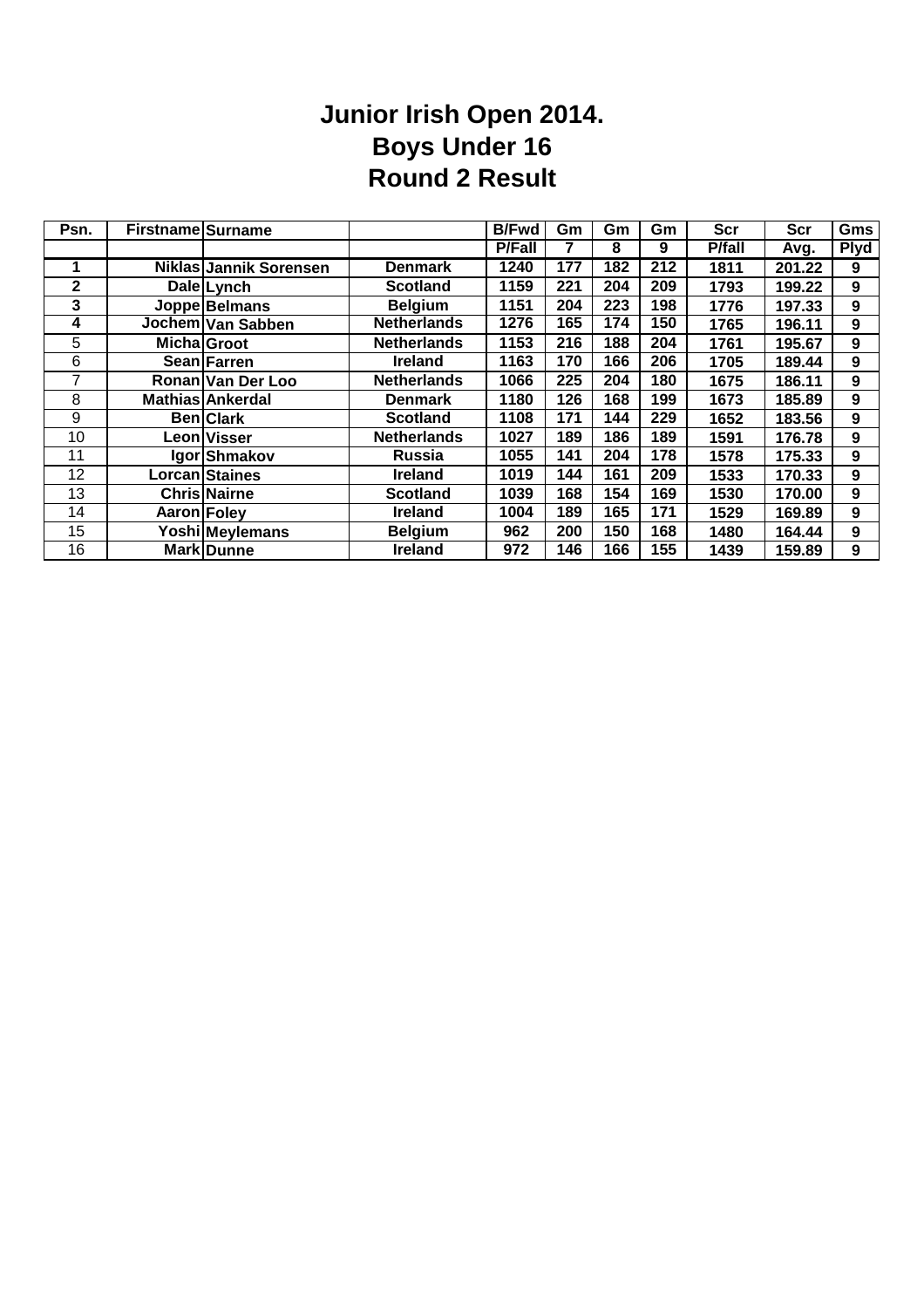#### **Junior Irish Open 2014. Boys Under 16 Round 2 Result**

| Psn.         | <b>Firstname Surname</b> |                        |                    | <b>B/Fwd</b>  | Gm  | Gm  | Gm  | <b>Scr</b>     | Scr    | Gms         |
|--------------|--------------------------|------------------------|--------------------|---------------|-----|-----|-----|----------------|--------|-------------|
|              |                          |                        |                    | <b>P/Fall</b> |     | 8   | 9   | <b>P</b> /fall | Avg.   | <b>Plyd</b> |
| 1            |                          | Niklas Jannik Sorensen | <b>Denmark</b>     | 1240          | 177 | 182 | 212 | 1811           | 201.22 | 9           |
| $\mathbf{2}$ |                          | Dale Lynch             | <b>Scotland</b>    | 1159          | 221 | 204 | 209 | 1793           | 199.22 | 9           |
| 3            |                          | Joppe Belmans          | <b>Belgium</b>     | 1151          | 204 | 223 | 198 | 1776           | 197.33 | 9           |
| 4            |                          | Jochem Van Sabben      | <b>Netherlands</b> | 1276          | 165 | 174 | 150 | 1765           | 196.11 | 9           |
| 5            |                          | Micha Groot            | <b>Netherlands</b> | 1153          | 216 | 188 | 204 | 1761           | 195.67 | 9           |
| 6            |                          | Sean Farren            | <b>Ireland</b>     | 1163          | 170 | 166 | 206 | 1705           | 189.44 | 9           |
| 7            |                          | Ronan Van Der Loo      | <b>Netherlands</b> | 1066          | 225 | 204 | 180 | 1675           | 186.11 | 9           |
| 8            |                          | Mathias Ankerdal       | <b>Denmark</b>     | 1180          | 126 | 168 | 199 | 1673           | 185.89 | 9           |
| 9            |                          | <b>Ben</b> Clark       | <b>Scotland</b>    | 1108          | 171 | 144 | 229 | 1652           | 183.56 | 9           |
| 10           |                          | Leon Visser            | <b>Netherlands</b> | 1027          | 189 | 186 | 189 | 1591           | 176.78 | 9           |
| 11           |                          | Igor Shmakov           | <b>Russia</b>      | 1055          | 141 | 204 | 178 | 1578           | 175.33 | 9           |
| 12           |                          | Lorcan Staines         | <b>Ireland</b>     | 1019          | 144 | 161 | 209 | 1533           | 170.33 | 9           |
| 13           |                          | <b>Chris Nairne</b>    | <b>Scotland</b>    | 1039          | 168 | 154 | 169 | 1530           | 170.00 | 9           |
| 14           | Aaron Foley              |                        | <b>Ireland</b>     | 1004          | 189 | 165 | 171 | 1529           | 169.89 | 9           |
| 15           |                          | Yoshi Meylemans        | <b>Belgium</b>     | 962           | 200 | 150 | 168 | 1480           | 164.44 | 9           |
| 16           |                          | <b>Mark Dunne</b>      | <b>Ireland</b>     | 972           | 146 | 166 | 155 | 1439           | 159.89 | 9           |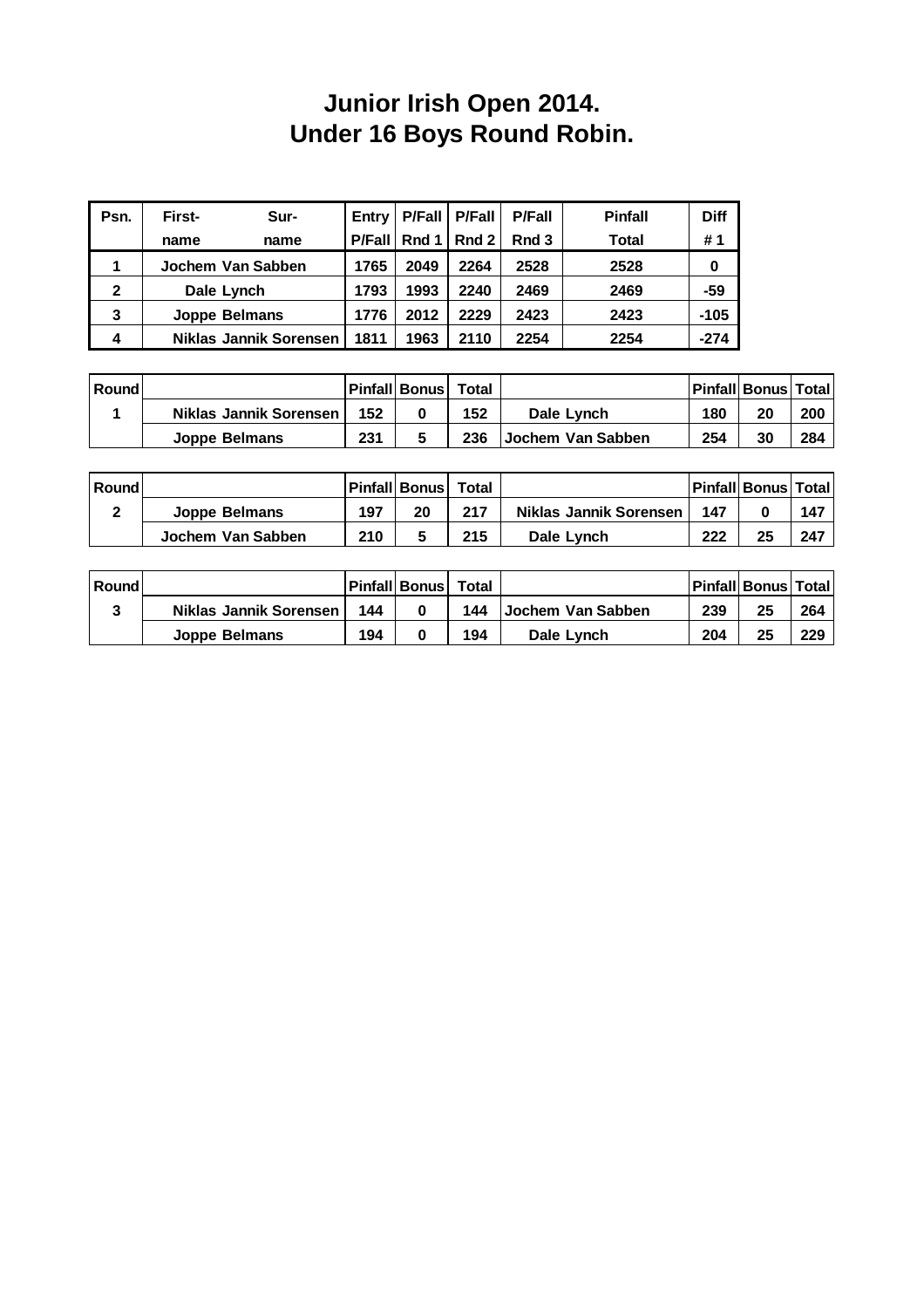### **Junior Irish Open 2014. Under 16 Boys Round Robin.**

| Psn.         | First-<br>Sur-                | Entry  | $P$ Fall | <b>P/Fall</b> | <b>P/Fall</b> | <b>Pinfall</b> | <b>Diff</b> |
|--------------|-------------------------------|--------|----------|---------------|---------------|----------------|-------------|
|              | name<br>name                  | P/Fall | Rnd $1l$ | Rnd 2         | Rnd 3         | Total          | #1          |
|              | Jochem Van Sabben             | 1765   | 2049     | 2264          | 2528          | 2528           | 0           |
| $\mathbf{2}$ | Dale Lynch                    | 1793   | 1993     | 2240          | 2469          | 2469           | -59         |
| 3            | <b>Joppe Belmans</b>          | 1776   | 2012     | 2229          | 2423          | 2423           | $-105$      |
| 4            | <b>Niklas Jannik Sorensen</b> | 1811   | 1963     | 2110          | 2254          | 2254           | $-274$      |

| <b>Round</b> |                                 |     | Pinfall Bonus | Total |                   |     | <b>Pinfall Bonus Total</b> |     |
|--------------|---------------------------------|-----|---------------|-------|-------------------|-----|----------------------------|-----|
|              | <b>Niklas Jannik Sorensen  </b> | 152 |               | 152   | Dale Lynch        | 180 | 20                         | 200 |
|              | Joppe Belmans                   | 231 |               | 236   | Jochem Van Sabben | 254 | 30                         | 284 |

| Round |                   |     | Pinfall Bonus Total |     |                        |     | <b>Pinfall Bonus Total</b> |     |
|-------|-------------------|-----|---------------------|-----|------------------------|-----|----------------------------|-----|
| ົ     | Joppe Belmans     | 197 | 20                  | 217 | Niklas Jannik Sorensen | 147 |                            | 147 |
|       | Jochem Van Sabben | 210 |                     | 215 | Dale Lynch             | 222 | 25                         | 247 |

| Round |                        |     | Pinfall Bonus | Total |                          |     | <b>Pinfall Bonus Total</b> |     |
|-------|------------------------|-----|---------------|-------|--------------------------|-----|----------------------------|-----|
| າ     | Niklas Jannik Sorensen | 144 |               | 144   | <b>Jochem Van Sabben</b> | 239 | 25                         | 264 |
|       | Joppe Belmans          | 194 |               | 194   | Dale Lynch               | 204 | 25                         | 229 |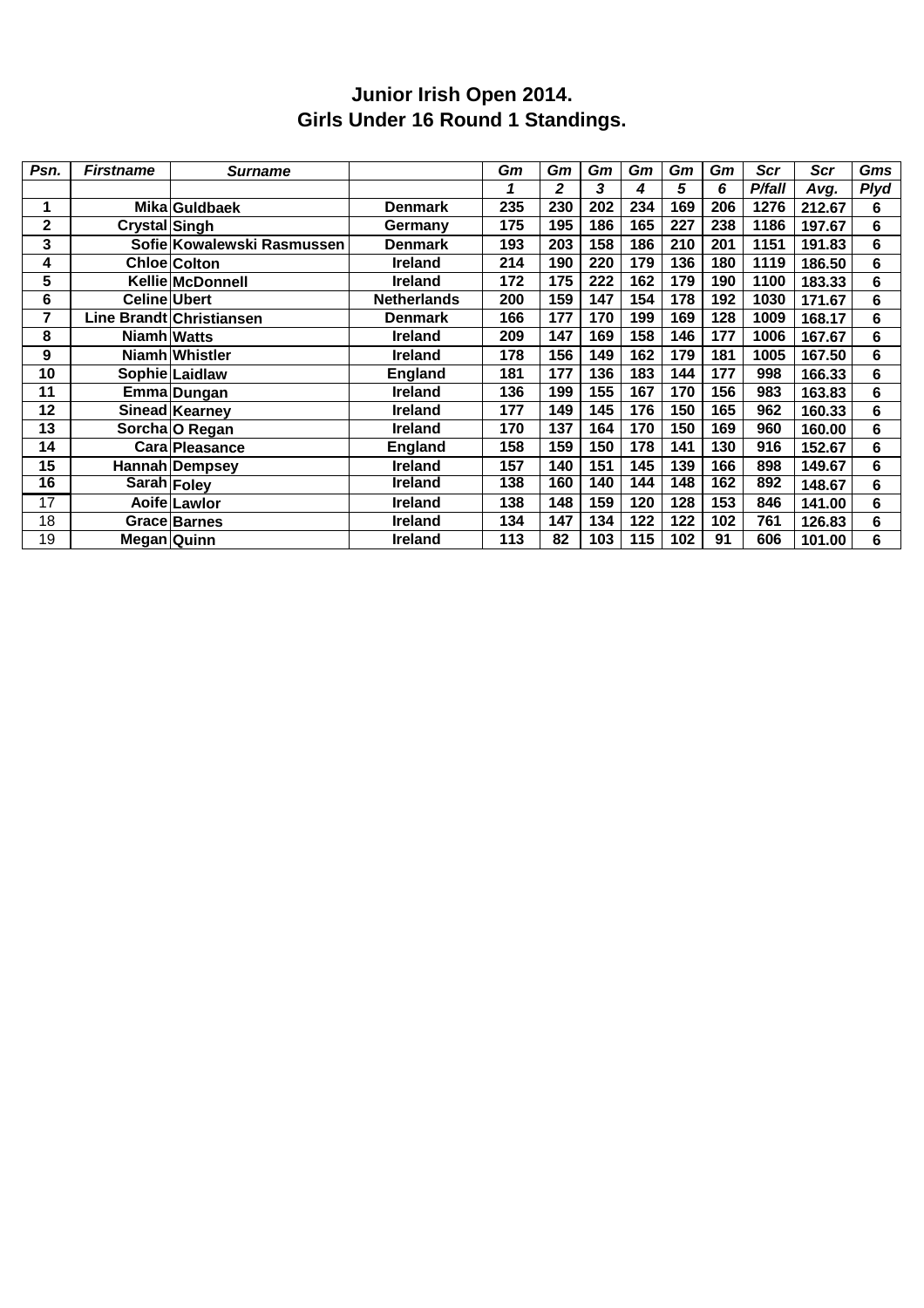#### **Junior Irish Open 2014. Girls Under 16 Round 1 Standings.**

| Psn.            | <b>Firstname</b>     | <b>Surname</b>             |                    | Gm  | Gm           | Gm               | Gm  | Gm  | Gm  | Scr    | Scr    | Gms         |
|-----------------|----------------------|----------------------------|--------------------|-----|--------------|------------------|-----|-----|-----|--------|--------|-------------|
|                 |                      |                            |                    | 1   | $\mathbf{2}$ | 3                | 4   | 5   | 6   | P/fall | Avg.   | <b>Plyd</b> |
| 1               |                      | Mika Guldbaek              | <b>Denmark</b>     | 235 | 230          | 202              | 234 | 169 | 206 | 1276   | 212.67 | 6           |
| $\mathbf 2$     | <b>Crystal Singh</b> |                            | Germany            | 175 | 195          | 186              | 165 | 227 | 238 | 1186   | 197.67 | 6           |
| 3               |                      | Sofie Kowalewski Rasmussen | <b>Denmark</b>     | 193 | 203          | 158              | 186 | 210 | 201 | 1151   | 191.83 | 6           |
| 4               |                      | <b>Chloe Colton</b>        | <b>Ireland</b>     | 214 | 190          | 220              | 179 | 136 | 180 | 1119   | 186.50 | 6           |
| 5               |                      | Kellie McDonnell           | <b>Ireland</b>     | 172 | 175          | 222              | 162 | 179 | 190 | 1100   | 183.33 | 6           |
| 6               | <b>Celine Ubert</b>  |                            | <b>Netherlands</b> | 200 | 159          | 147              | 154 | 178 | 192 | 1030   | 171.67 | 6           |
| 7               |                      | Line Brandt Christiansen   | Denmark            | 166 | 177          | 170              | 199 | 169 | 128 | 1009   | 168.17 | 6           |
| 8               | <b>Niamh Watts</b>   |                            | <b>Ireland</b>     | 209 | 147          | 169              | 158 | 146 | 177 | 1006   | 167.67 | 6           |
| 9               |                      | Niamh Whistler             | <b>Ireland</b>     | 178 | 156          | 149              | 162 | 179 | 181 | 1005   | 167.50 | 6           |
| 10              |                      | Sophie Laidlaw             | <b>England</b>     | 181 | 177          | 136              | 183 | 144 | 177 | 998    | 166.33 | 6           |
| 11              |                      | Emma Dungan                | <b>Ireland</b>     | 136 | 199          | 155              | 167 | 170 | 156 | 983    | 163.83 | 6           |
| 12              |                      | Sinead Kearney             | <b>Ireland</b>     | 177 | 149          | $\overline{145}$ | 176 | 150 | 165 | 962    | 160.33 | 6           |
| 13              |                      | Sorcha O Regan             | <b>Ireland</b>     | 170 | 137          | 164              | 170 | 150 | 169 | 960    | 160.00 | 6           |
| 14              |                      | Cara Pleasance             | <b>England</b>     | 158 | 159          | 150              | 178 | 141 | 130 | 916    | 152.67 | 6           |
| 15              |                      | Hannah Dempsey             | Ireland            | 157 | 140          | 151              | 145 | 139 | 166 | 898    | 149.67 | 6           |
| 16              |                      | Sarah Foley                | <b>Ireland</b>     | 138 | 160          | 140              | 144 | 148 | 162 | 892    | 148.67 | 6           |
| $\overline{17}$ |                      | Aoife Lawlor               | <b>Ireland</b>     | 138 | 148          | 159              | 120 | 128 | 153 | 846    | 141.00 | 6           |
| 18              |                      | Grace Barnes               | <b>Ireland</b>     | 134 | 147          | 134              | 122 | 122 | 102 | 761    | 126.83 | 6           |
| 19              | Megan Quinn          |                            | <b>Ireland</b>     | 113 | 82           | 103              | 115 | 102 | 91  | 606    | 101.00 | 6           |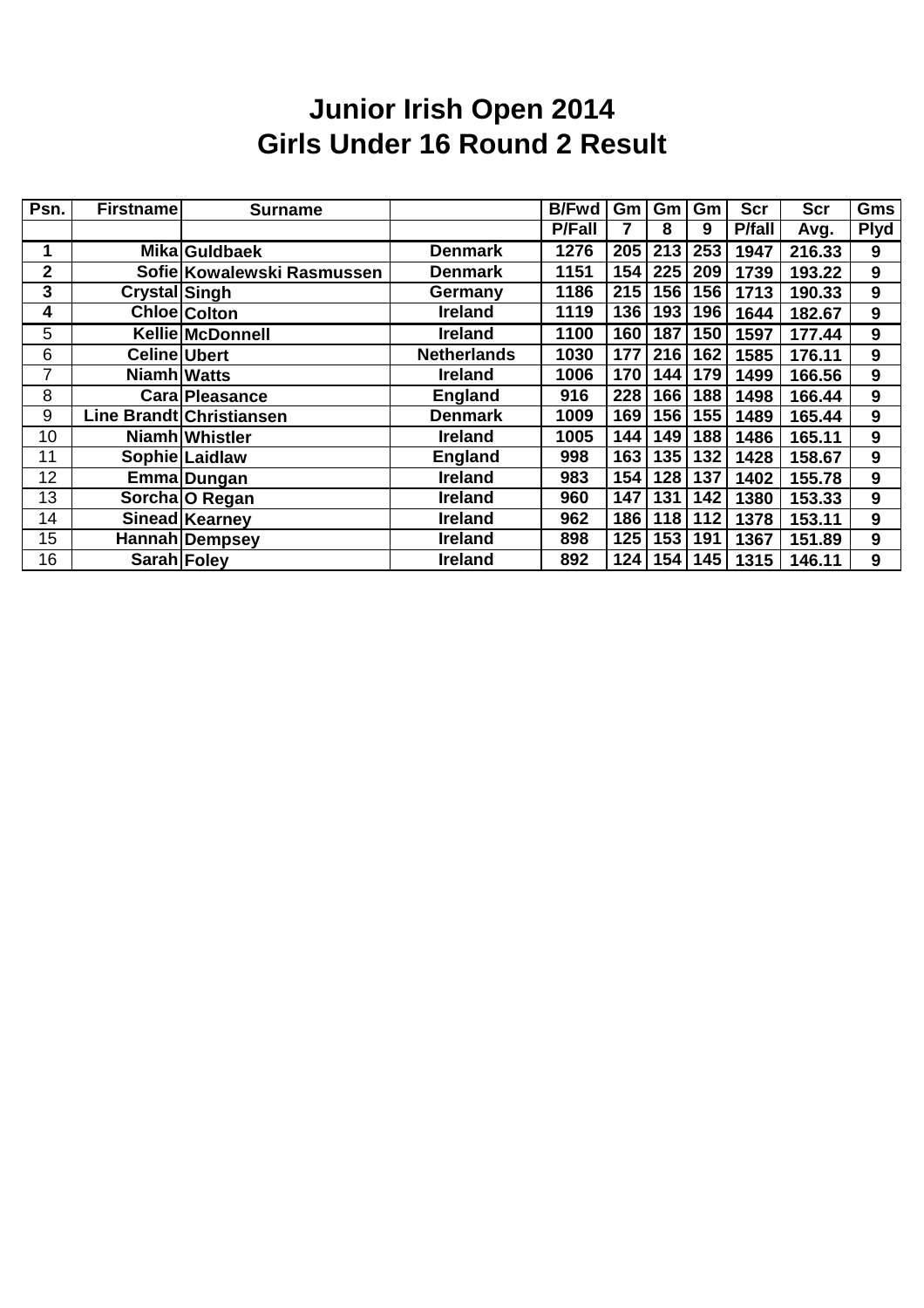### **Junior Irish Open 2014 Girls Under 16 Round 2 Result**

| Psn. | <b>Firstname</b> | <b>Surname</b>             |                    | <b>B/Fwd</b>  | Gm  | Gm  | Gm  | <b>Scr</b>    | <b>Scr</b> | Gms         |
|------|------------------|----------------------------|--------------------|---------------|-----|-----|-----|---------------|------------|-------------|
|      |                  |                            |                    | <b>P/Fall</b> |     | 8   | 9   | <b>P/fall</b> | Avg.       | <b>Plyd</b> |
|      |                  | Mika Guldbaek              | <b>Denmark</b>     | 1276          | 205 | 213 | 253 | 1947          | 216.33     | 9           |
| 2    |                  | Sofie Kowalewski Rasmussen | <b>Denmark</b>     | 1151          | 154 | 225 | 209 | 1739          | 193.22     | 9           |
| 3    | Crystal Singh    |                            | Germany            | 1186          | 215 | 156 | 156 | 1713          | 190.33     | 9           |
| 4    |                  | <b>Chloe</b> Colton        | <b>Ireland</b>     | 1119          | 136 | 193 | 196 | 1644          | 182.67     | 9           |
| 5    |                  | <b>Kellie McDonnell</b>    | <b>Ireland</b>     | 1100          | 160 | 187 | 150 | 1597          | 177.44     | 9           |
| 6    | Celine Ubert     |                            | <b>Netherlands</b> | 1030          | 177 | 216 | 162 | 1585          | 176.11     | 9           |
| 7    | Niamh Watts      |                            | <b>Ireland</b>     | 1006          | 170 | 144 | 179 | 1499          | 166.56     | 9           |
| 8    |                  | <b>Cara Pleasance</b>      | <b>England</b>     | 916           | 228 | 166 | 188 | 1498          | 166.44     | 9           |
| 9    |                  | Line Brandt Christiansen   | <b>Denmark</b>     | 1009          | 169 | 156 | 155 | 1489          | 165.44     | 9           |
| 10   |                  | Niamh Whistler             | <b>Ireland</b>     | 1005          | 144 | 149 | 188 | 1486          | 165.11     | 9           |
| 11   |                  | Sophie Laidlaw             | <b>England</b>     | 998           | 163 | 135 | 132 | 1428          | 158.67     | 9           |
| 12   |                  | Emma Dungan                | <b>Ireland</b>     | 983           | 154 | 128 | 137 | 1402          | 155.78     | 9           |
| 13   |                  | Sorcha O Regan             | <b>Ireland</b>     | 960           | 147 | 131 | 142 | 1380          | 153.33     | 9           |
| 14   |                  | Sinead Kearney             | <b>Ireland</b>     | 962           | 186 | 118 | 112 | 1378          | 153.11     | 9           |
| 15   |                  | Hannah Dempsey             | <b>Ireland</b>     | 898           | 125 | 153 | 191 | 1367          | 151.89     | 9           |
| 16   | Sarah Foley      |                            | <b>Ireland</b>     | 892           | 124 | 154 | 145 | 1315          | 146.11     | 9           |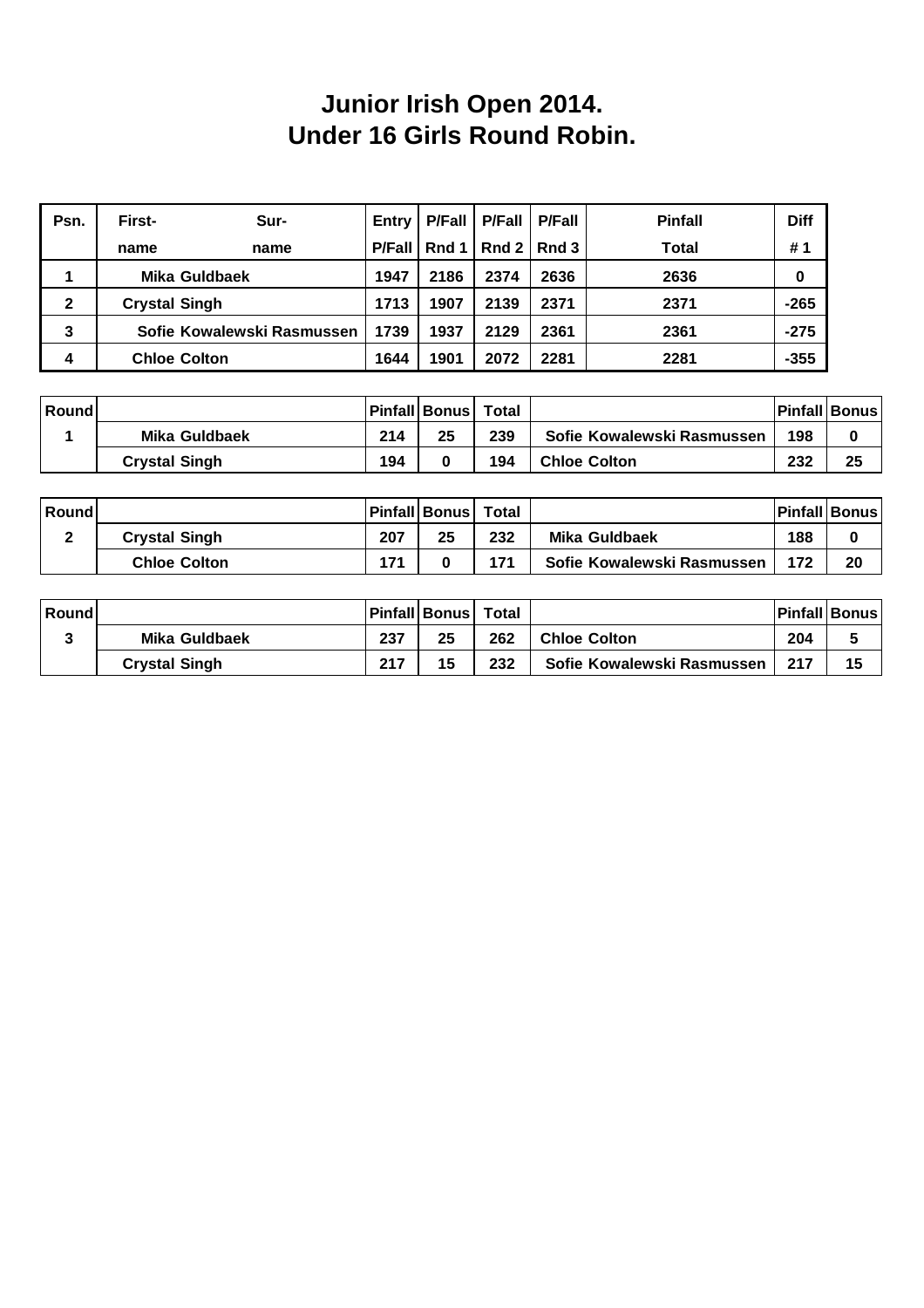#### **Junior Irish Open 2014. Under 16 Girls Round Robin.**

| Psn. | First-                     | Sur- | Entry         | <b>P/Fall</b> | <b>P/Fall</b> | <b>P/Fall</b> | <b>Pinfall</b> | <b>Diff</b> |
|------|----------------------------|------|---------------|---------------|---------------|---------------|----------------|-------------|
|      | name                       | name | <b>P/Fall</b> | Rnd 1         | Rnd2          | Rnd 3         | Total          | #1          |
|      | Mika Guldbaek              |      | 1947          | 2186          | 2374          | 2636          | 2636           | 0           |
| 2    | <b>Crystal Singh</b>       |      | 1713          | 1907          | 2139          | 2371          | 2371           | $-265$      |
| 3    | Sofie Kowalewski Rasmussen |      | 1739          | 1937          | 2129          | 2361          | 2361           | $-275$      |
| 4    | <b>Chloe Colton</b>        |      | 1644          | 1901          | 2072          | 2281          | 2281           | $-355$      |

| Round |                      |     | Pinfall Bonus  Total |     |                            |     | <b>Pinfall Bonus</b> |
|-------|----------------------|-----|----------------------|-----|----------------------------|-----|----------------------|
|       | Mika Guldbaek        | 214 | 25                   | 239 | Sofie Kowalewski Rasmussen | 198 | 0                    |
|       | <b>Crystal Singh</b> | 194 |                      | 194 | <b>Chloe Colton</b>        | 232 | 25                   |

| <b>Round</b> |                      |     | Pinfall Bonus  Total |     |                            |     | <b>Pinfall Bonus</b> |
|--------------|----------------------|-----|----------------------|-----|----------------------------|-----|----------------------|
|              | <b>Crystal Singh</b> | 207 | 25                   | 232 | Mika Guldbaek              | 188 | 0                    |
|              | <b>Chloe Colton</b>  | 171 |                      | 171 | Sofie Kowalewski Rasmussen | 172 | 20                   |

| Round |                      |     | Pinfall Bonus | Total |                            |     | <b>Pinfall Bonus</b> |
|-------|----------------------|-----|---------------|-------|----------------------------|-----|----------------------|
|       | <b>Mika Guldbaek</b> | 237 | 25            | 262   | <b>Chloe Colton</b>        | 204 |                      |
|       | <b>Crystal Singh</b> | 217 | 15            | 232   | Sofie Kowalewski Rasmussen | 217 | 15                   |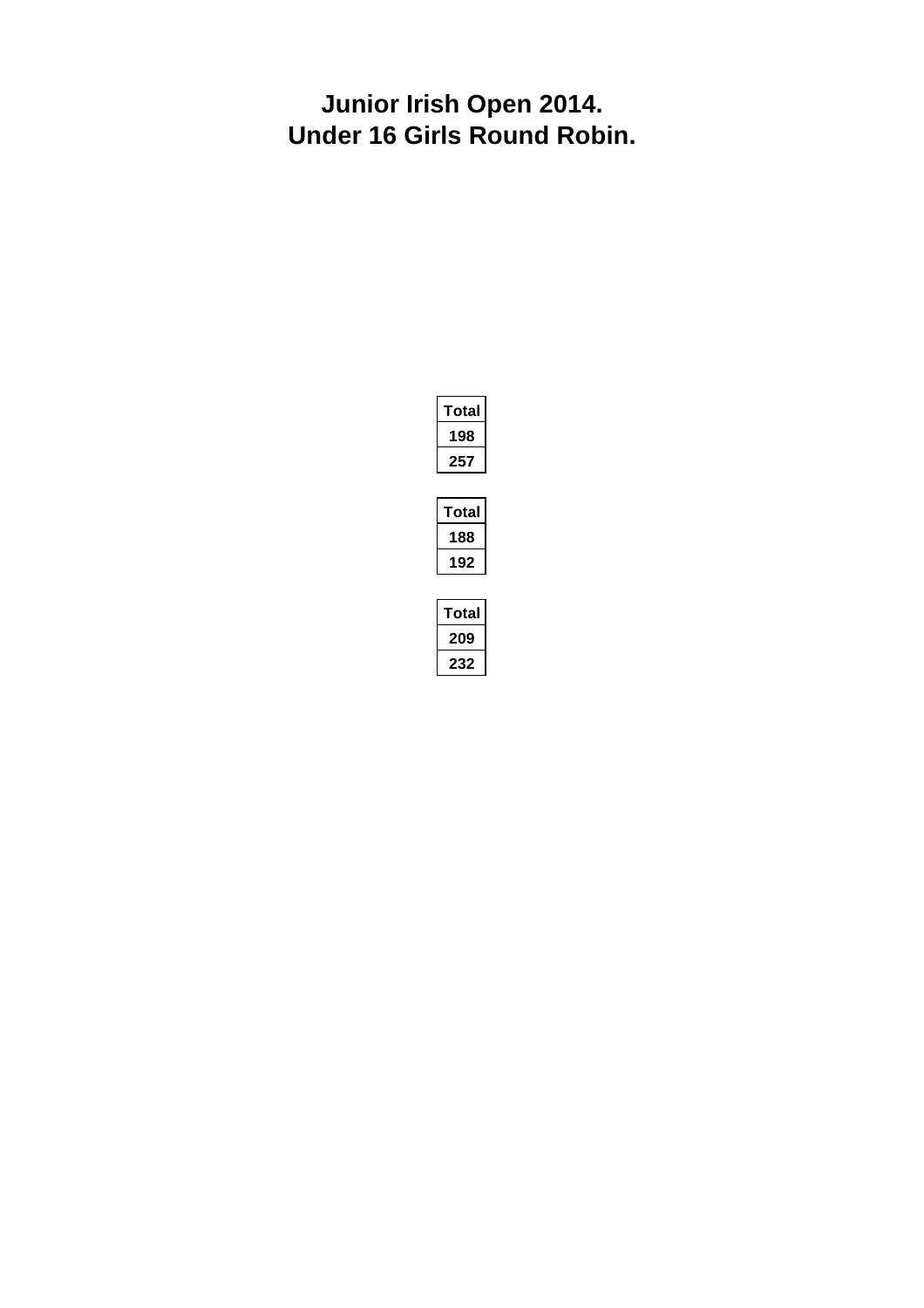#### **Junior Irish Open 2014. Under 16 Girls Round Robin.**

| otal |
|------|
| 98   |
| 257  |

| otal |
|------|
| 88   |
| 92   |

| ⊺otal |  |
|-------|--|
| 209   |  |
| 232   |  |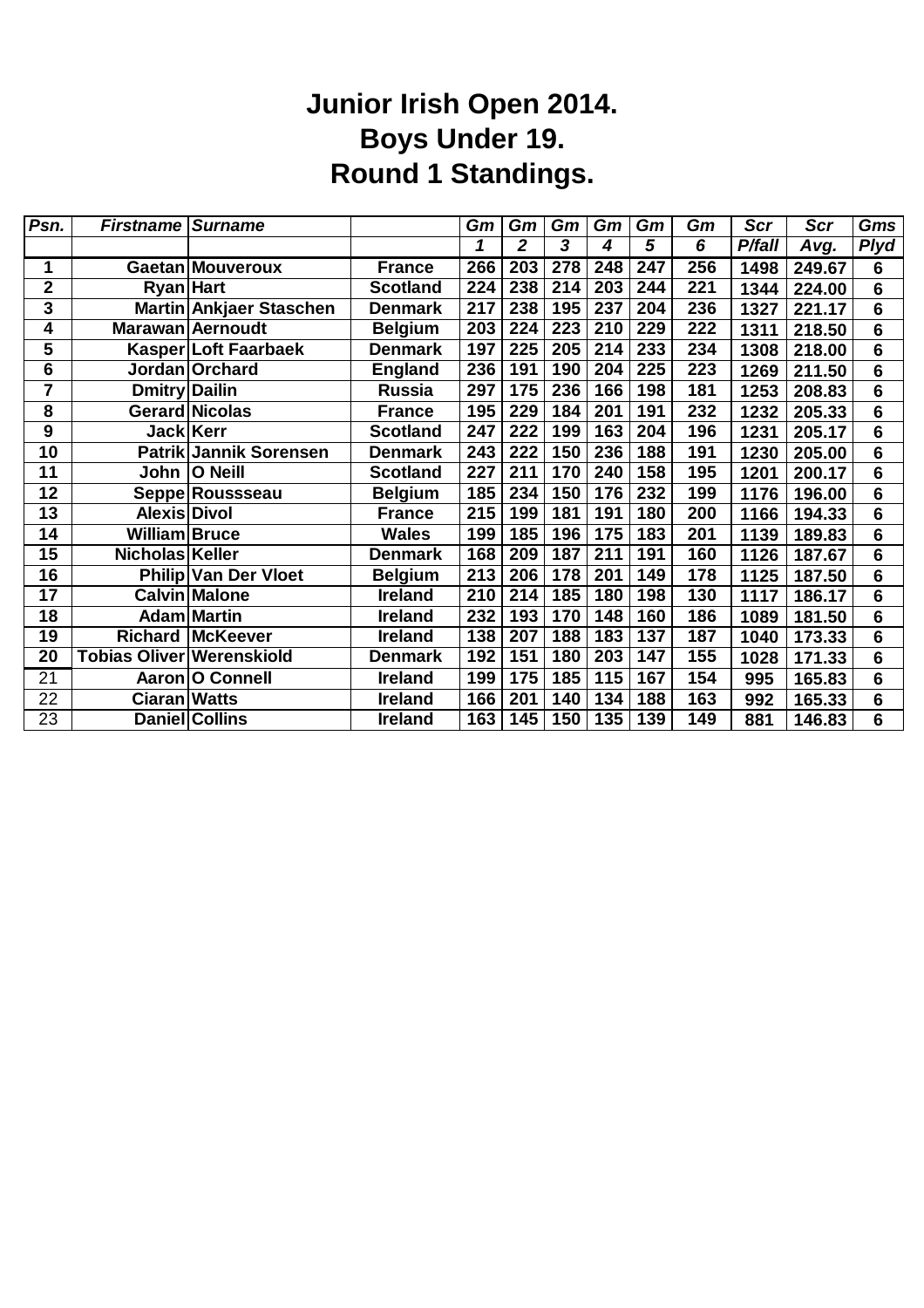## **Junior Irish Open 2014. Boys Under 19. Round 1 Standings.**

| Psn.            | <b>Firstname Surname</b>         |                             |                 | Gm               | Gm             | Gm  | Gm  | Gm  | Gm  | Scr    | Scr    | <b>Gms</b>      |
|-----------------|----------------------------------|-----------------------------|-----------------|------------------|----------------|-----|-----|-----|-----|--------|--------|-----------------|
|                 |                                  |                             |                 | 1                | $\overline{2}$ | 3   | 4   | 5   | 6   | P/fall | Avg.   | <b>Plyd</b>     |
| 1               |                                  | <b>Gaetan Mouveroux</b>     | <b>France</b>   | 266              | 203            | 278 | 248 | 247 | 256 | 1498   | 249.67 | $6\phantom{1}$  |
| $\mathbf{2}$    | <b>Ryan Hart</b>                 |                             | <b>Scotland</b> | 224              | 238            | 214 | 203 | 244 | 221 | 1344   | 224.00 | $6\phantom{1}6$ |
| 3               |                                  | Martin Ankjaer Staschen     | <b>Denmark</b>  | 217              | 238            | 195 | 237 | 204 | 236 | 1327   | 221.17 | $6\phantom{1}6$ |
| 4               |                                  | Marawan Aernoudt            | <b>Belgium</b>  | 203              | 224            | 223 | 210 | 229 | 222 | 1311   | 218.50 | $6\phantom{1}6$ |
| 5               |                                  | Kasper Loft Faarbaek        | <b>Denmark</b>  | 197              | 225            | 205 | 214 | 233 | 234 | 1308   | 218.00 | $6\phantom{1}6$ |
| 6               |                                  | Jordan Orchard              | <b>England</b>  | 236              | 191            | 190 | 204 | 225 | 223 | 1269   | 211.50 | $6\phantom{1}6$ |
| 7               | Dmitry Dailin                    |                             | <b>Russia</b>   | 297              | 175            | 236 | 166 | 198 | 181 | 1253   | 208.83 | $6\phantom{1}6$ |
| 8               |                                  | Gerard Nicolas              | <b>France</b>   | 195              | 229            | 184 | 201 | 191 | 232 | 1232   | 205.33 | $6\phantom{1}6$ |
| 9               | Jack Kerr                        |                             | <b>Scotland</b> | 247              | 222            | 199 | 163 | 204 | 196 | 1231   | 205.17 | $6\phantom{1}6$ |
| $\overline{10}$ |                                  | Patrik Jannik Sorensen      | <b>Denmark</b>  | 243              | 222            | 150 | 236 | 188 | 191 | 1230   | 205.00 | $\overline{6}$  |
| 11              |                                  | John   O Neill              | <b>Scotland</b> | 227              | 211            | 170 | 240 | 158 | 195 | 1201   | 200.17 | $6\phantom{a}$  |
| 12              |                                  | Seppe Roussseau             | <b>Belgium</b>  | 185              | 234            | 150 | 176 | 232 | 199 | 1176   | 196.00 | $\overline{6}$  |
| 13              | Alexis Divol                     |                             | <b>France</b>   | 215              | 199            | 181 | 191 | 180 | 200 | 1166   | 194.33 | $\overline{6}$  |
| 14              | William Bruce                    |                             | <b>Wales</b>    | 199              | 185            | 196 | 175 | 183 | 201 | 1139   | 189.83 | $6\phantom{a}$  |
| $\overline{15}$ | Nicholas Keller                  |                             | <b>Denmark</b>  | 168              | 209            | 187 | 211 | 191 | 160 | 1126   | 187.67 | $\overline{6}$  |
| $\overline{16}$ |                                  | <b>Philip Van Der Vloet</b> | <b>Belgium</b>  | $\overline{213}$ | 206            | 178 | 201 | 149 | 178 | 1125   | 187.50 | $\overline{6}$  |
| 17              |                                  | <b>Calvin Malone</b>        | <b>Ireland</b>  | 210              | 214            | 185 | 180 | 198 | 130 | 1117   | 186.17 | $6\phantom{1}6$ |
| 18              |                                  | <b>Adam Martin</b>          | <b>Ireland</b>  | 232              | 193            | 170 | 148 | 160 | 186 | 1089   | 181.50 | $\overline{6}$  |
| 19              |                                  | <b>Richard McKeever</b>     | <b>Ireland</b>  | 138              | 207            | 188 | 183 | 137 | 187 | 1040   | 173.33 | $6\phantom{1}6$ |
| 20              | <b>Tobias Oliver Werenskiold</b> |                             | <b>Denmark</b>  | 192              | 151            | 180 | 203 | 147 | 155 | 1028   | 171.33 | $6\phantom{1}6$ |
| $\overline{21}$ |                                  | Aaron O Connell             | <b>Ireland</b>  | 199              | 175            | 185 | 115 | 167 | 154 | 995    | 165.83 | $6\phantom{1}6$ |
| 22              | <b>Ciaran Watts</b>              |                             | <b>Ireland</b>  | 166              | 201            | 140 | 134 | 188 | 163 | 992    | 165.33 | $6\phantom{1}6$ |
| 23              |                                  | Daniel Collins              | <b>Ireland</b>  | 163              | 145            | 150 | 135 | 139 | 149 | 881    | 146.83 | $6\phantom{1}6$ |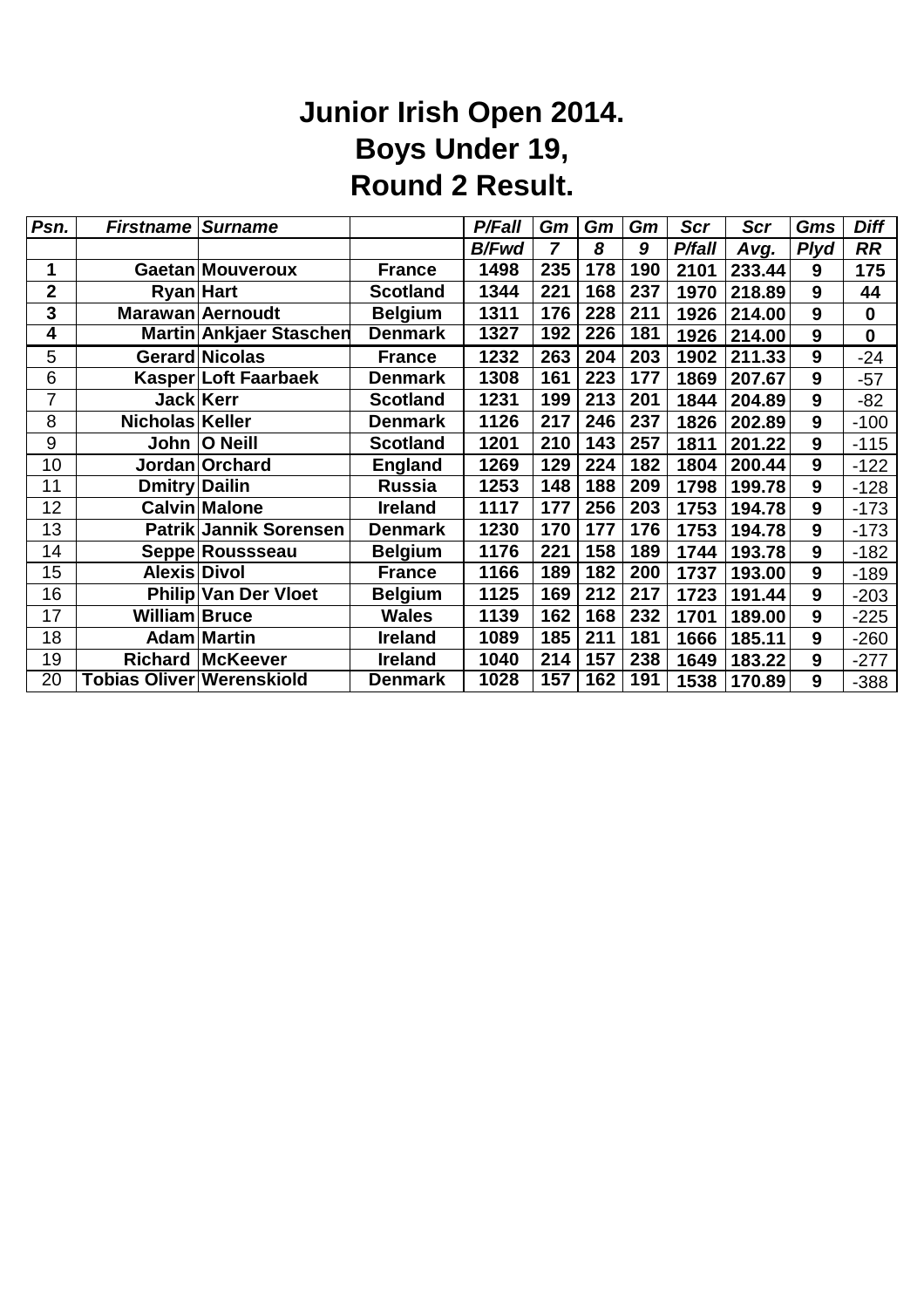# **Junior Irish Open 2014. Boys Under 19, Round 2 Result.**

| Psn.           | <b>Firstname Surname</b>  |                                |                 | <b>P/Fall</b> | Gm  | Gm  | Gm  | Scr    | Scr    | Gms              | <b>Diff</b> |
|----------------|---------------------------|--------------------------------|-----------------|---------------|-----|-----|-----|--------|--------|------------------|-------------|
|                |                           |                                |                 | <b>B/Fwd</b>  | 7   | 8   | 9   | P/fall | Avg.   | <b>Plyd</b>      | <b>RR</b>   |
| 1              |                           | <b>Gaetan Mouveroux</b>        | <b>France</b>   | 1498          | 235 | 178 | 190 | 2101   | 233.44 | 9                | 175         |
| $\overline{2}$ | <b>Ryan</b> Hart          |                                | <b>Scotland</b> | 1344          | 221 | 168 | 237 | 1970   | 218.89 | 9                | 44          |
| 3              |                           | Marawan Aernoudt               | <b>Belgium</b>  | 1311          | 176 | 228 | 211 | 1926   | 214.00 | 9                | $\mathbf 0$ |
| 4              |                           | <b>Martin Ankjaer Staschen</b> | <b>Denmark</b>  | 1327          | 192 | 226 | 181 | 1926   | 214.00 | 9                | $\bf{0}$    |
| 5              |                           | <b>Gerard Nicolas</b>          | <b>France</b>   | 1232          | 263 | 204 | 203 | 1902   | 211.33 | 9                | $-24$       |
| 6              |                           | Kasper Loft Faarbaek           | <b>Denmark</b>  | 1308          | 161 | 223 | 177 | 1869   | 207.67 | 9                | $-57$       |
| 7              |                           | Jack Kerr                      | <b>Scotland</b> | 1231          | 199 | 213 | 201 | 1844   | 204.89 | $\boldsymbol{9}$ | $-82$       |
| 8              | Nicholas Keller           |                                | <b>Denmark</b>  | 1126          | 217 | 246 | 237 | 1826   | 202.89 | 9                | $-100$      |
| 9              |                           | John   O Neill                 | <b>Scotland</b> | 1201          | 210 | 143 | 257 | 1811   | 201.22 | 9                | $-115$      |
| 10             |                           | Jordan Orchard                 | <b>England</b>  | 1269          | 129 | 224 | 182 | 1804   | 200.44 | $\boldsymbol{9}$ | $-122$      |
| 11             | <b>Dmitry Dailin</b>      |                                | <b>Russia</b>   | 1253          | 148 | 188 | 209 | 1798   | 199.78 | 9                | $-128$      |
| 12             |                           | <b>Calvin Malone</b>           | <b>Ireland</b>  | 1117          | 177 | 256 | 203 | 1753   | 194.78 | 9                | $-173$      |
| 13             |                           | Patrik Jannik Sorensen         | <b>Denmark</b>  | 1230          | 170 | 177 | 176 | 1753   | 194.78 | 9                | $-173$      |
| 14             |                           | Seppe Roussseau                | <b>Belgium</b>  | 1176          | 221 | 158 | 189 | 1744   | 193.78 | 9                | $-182$      |
| 15             | <b>Alexis Divol</b>       |                                | <b>France</b>   | 1166          | 189 | 182 | 200 | 1737   | 193.00 | 9                | $-189$      |
| 16             |                           | <b>Philip Van Der Vloet</b>    | <b>Belgium</b>  | 1125          | 169 | 212 | 217 | 1723   | 191.44 | 9                | $-203$      |
| 17             | William Bruce             |                                | <b>Wales</b>    | 1139          | 162 | 168 | 232 | 1701   | 189.00 | 9                | $-225$      |
| 18             |                           | <b>Adam Martin</b>             | <b>Ireland</b>  | 1089          | 185 | 211 | 181 | 1666   | 185.11 | 9                | $-260$      |
| 19             |                           | <b>Richard McKeever</b>        | <b>Ireland</b>  | 1040          | 214 | 157 | 238 | 1649   | 183.22 | 9                | $-277$      |
| 20             | Tobias Oliver Werenskiold |                                | <b>Denmark</b>  | 1028          | 157 | 162 | 191 | 1538   | 170.89 | 9                | $-388$      |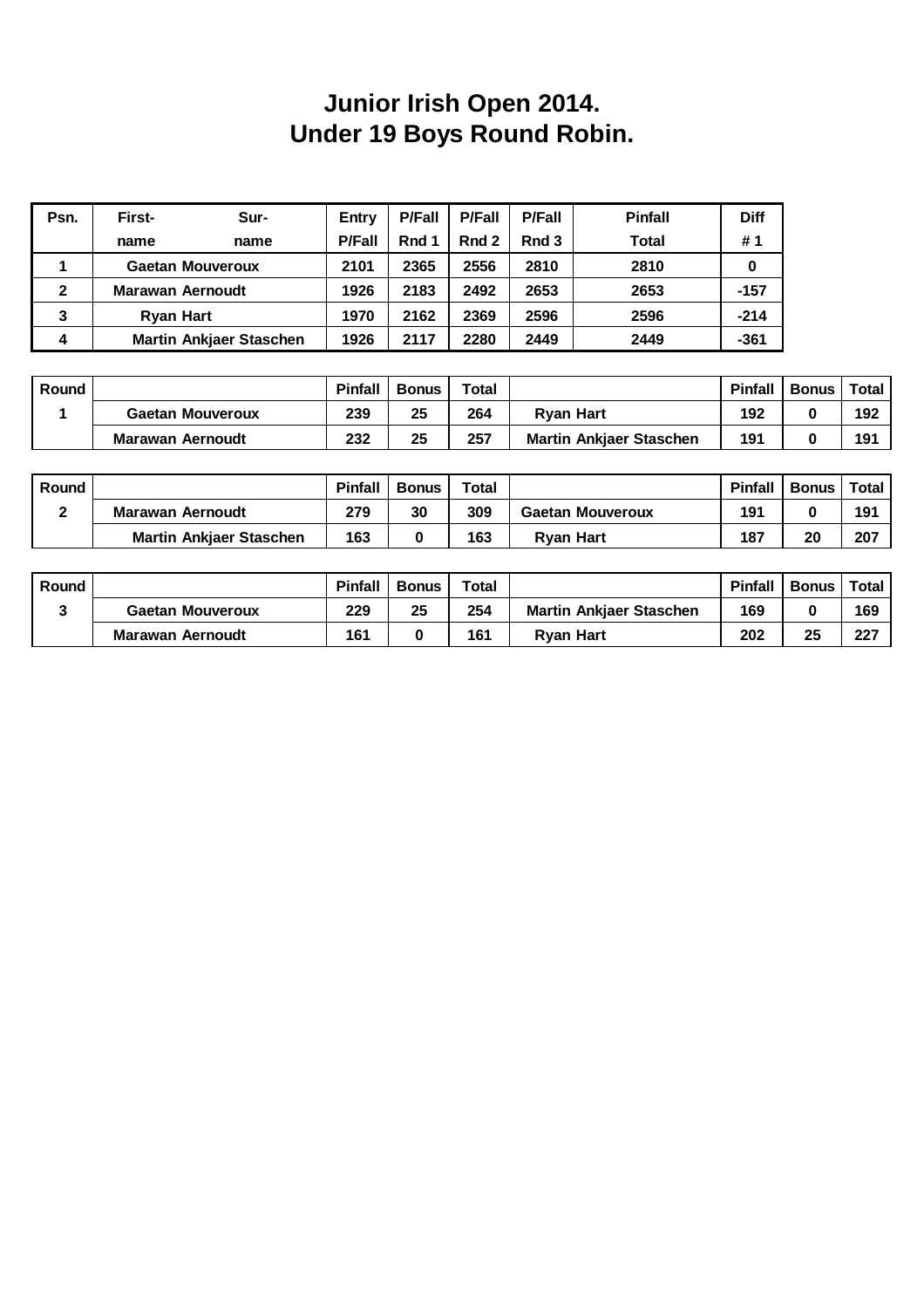### **Junior Irish Open 2014. Under 19 Boys Round Robin.**

| Psn.           | First-                  | Sur-                           | Entry         | <b>P/Fall</b> | <b>P/Fall</b> | <b>P/Fall</b> | <b>Pinfall</b> | <b>Diff</b> |
|----------------|-------------------------|--------------------------------|---------------|---------------|---------------|---------------|----------------|-------------|
|                | name                    | name                           | <b>P/Fall</b> | Rnd 1         | Rnd 2         | Rnd 3         | Total          | #1          |
|                |                         | <b>Gaetan Mouveroux</b>        | 2101          | 2365          | 2556          | 2810          | 2810           | 0           |
| $\overline{2}$ | <b>Marawan Aernoudt</b> |                                | 1926          | 2183          | 2492          | 2653          | 2653           | $-157$      |
| 3              | <b>Ryan Hart</b>        |                                | 1970          | 2162          | 2369          | 2596          | 2596           | $-214$      |
| 4              |                         | <b>Martin Ankjaer Staschen</b> | 1926          | 2117          | 2280          | 2449          | 2449           | $-361$      |

| Round |                         | <b>Pinfall</b> | <b>Bonus</b> | <b>Total</b> |                                | <b>Pinfall</b> | <b>Bonus</b> | Total |
|-------|-------------------------|----------------|--------------|--------------|--------------------------------|----------------|--------------|-------|
|       | <b>Gaetan Mouveroux</b> | 239            | 25           | 264          | <b>Rvan Hart</b>               | 192            |              | 192   |
|       | Marawan Aernoudt        | 232            | 25           | 257          | <b>Martin Ankiaer Staschen</b> | 191            |              | 191   |

| Round |                                | <b>Pinfall</b> | <b>Bonus</b> | Total |                         | <b>Pinfall</b> | <b>Bonus</b> | <b>Total</b> |
|-------|--------------------------------|----------------|--------------|-------|-------------------------|----------------|--------------|--------------|
|       | Marawan Aernoudt               | 279            | 30           | 309   | <b>Gaetan Mouveroux</b> | 191            |              | 191          |
|       | <b>Martin Ankiaer Staschen</b> | 163            |              | 163   | <b>Rvan Hart</b>        | 187            | 20           | 207          |

| Round |                         | <b>Pinfall</b> | <b>Bonus</b> | <b>Total</b> |                                | Pinfall | <b>Bonus</b> | Total |
|-------|-------------------------|----------------|--------------|--------------|--------------------------------|---------|--------------|-------|
|       | <b>Gaetan Mouveroux</b> | 229            | 25           | 254          | <b>Martin Ankiaer Staschen</b> | 169     |              | 169   |
|       | Marawan Aernoudt        | 161            |              | 161          | <b>Rvan Hart</b>               | 202     | 25           | 227   |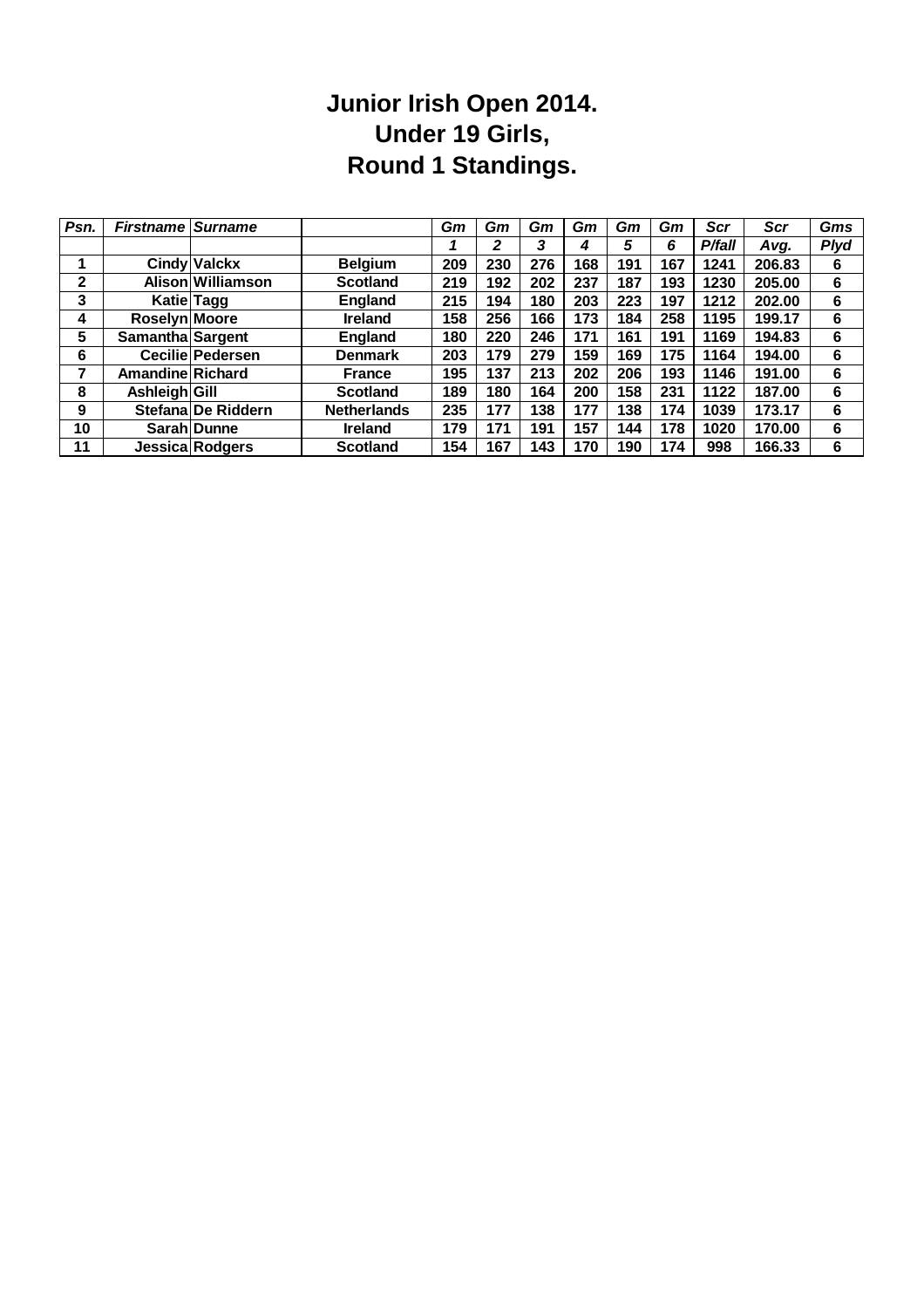### **Junior Irish Open 2014. Under 19 Girls, Round 1 Standings.**

| Psn.         | <b>Firstname Surname</b> |                         |                    | Gm  | Gm  | Gm  | Gm  | Gm  | Gm  | Scr    | <b>Scr</b> | Gms         |
|--------------|--------------------------|-------------------------|--------------------|-----|-----|-----|-----|-----|-----|--------|------------|-------------|
|              |                          |                         |                    |     | 2   | 3   | 4   | 5   | 6   | P/fall | Avg.       | <b>Plyd</b> |
|              |                          | <b>Cindy Valckx</b>     | <b>Belgium</b>     | 209 | 230 | 276 | 168 | 191 | 167 | 1241   | 206.83     | 6           |
| $\mathbf{2}$ |                          | Alison Williamson       | <b>Scotland</b>    | 219 | 192 | 202 | 237 | 187 | 193 | 1230   | 205.00     | 6           |
| 3            |                          | Katie Tagg              | England            | 215 | 194 | 180 | 203 | 223 | 197 | 1212   | 202.00     | 6           |
| 4            | Roselyn Moore            |                         | <b>Ireland</b>     | 158 | 256 | 166 | 173 | 184 | 258 | 1195   | 199.17     | 6           |
| 5            | Samantha Sargent         |                         | England            | 180 | 220 | 246 | 171 | 161 | 191 | 1169   | 194.83     | 6           |
| 6            |                          | <b>Cecilie Pedersen</b> | <b>Denmark</b>     | 203 | 179 | 279 | 159 | 169 | 175 | 1164   | 194.00     | 6           |
| 7            | <b>Amandine Richard</b>  |                         | <b>France</b>      | 195 | 137 | 213 | 202 | 206 | 193 | 1146   | 191.00     | 6           |
| 8            | Ashleigh Gill            |                         | <b>Scotland</b>    | 189 | 180 | 164 | 200 | 158 | 231 | 1122   | 187.00     | 6           |
| 9            |                          | Stefana De Riddern      | <b>Netherlands</b> | 235 | 177 | 138 | 177 | 138 | 174 | 1039   | 173.17     | 6           |
| 10           |                          | Sarah Dunne             | <b>Ireland</b>     | 179 | 171 | 191 | 157 | 144 | 178 | 1020   | 170.00     | 6           |
| 11           |                          | Jessica Rodgers         | <b>Scotland</b>    | 154 | 167 | 143 | 170 | 190 | 174 | 998    | 166.33     | 6           |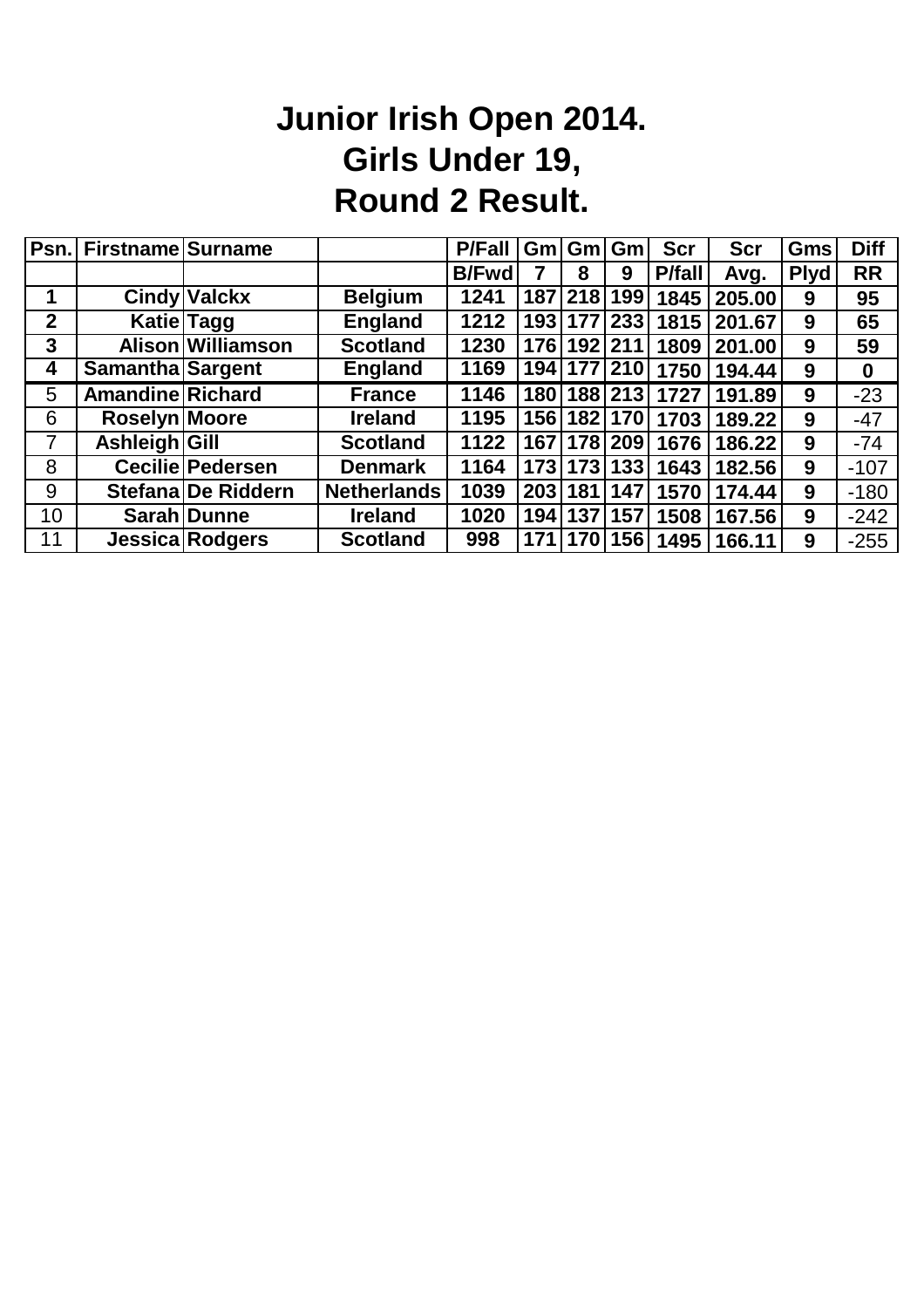# **Junior Irish Open 2014. Girls Under 19, Round 2 Result.**

|                | Psn. Firstname Surname  |                        |                    | <b>P/Fall</b> |     |             | Gm Gm Gm        | <b>Scr</b>     | <b>Scr</b> | Gms         | <b>Diff</b> |
|----------------|-------------------------|------------------------|--------------------|---------------|-----|-------------|-----------------|----------------|------------|-------------|-------------|
|                |                         |                        |                    | <b>B/Fwd</b>  |     | 8           | 9               | <b>P</b> /fall | Avg.       | <b>Plyd</b> | <b>RR</b>   |
|                |                         | <b>Cindy Valckx</b>    | <b>Belgium</b>     | 1241          | 187 | 218         | 199             | 1845           | 205.00     | 9           | 95          |
| $\overline{2}$ |                         | <b>Katie Tagg</b>      | <b>England</b>     | 1212          |     |             | 193   177   233 | 1815           | 201.67     | 9           | 65          |
| 3              |                         | Alison Williamson      | <b>Scotland</b>    | 1230          |     | 176 192 211 |                 | 1809           | 201.00     | 9           | 59          |
| 4              | <b>Samantha Sargent</b> |                        | <b>England</b>     | 1169          |     |             | 194   177   210 | 1750           | 194.44     | 9           | $\bf{0}$    |
| 5              | <b>Amandine Richard</b> |                        | <b>France</b>      | 1146          |     |             | 180   188   213 | 1727           | 191.89     | 9           | $-23$       |
| 6              | Roselyn Moore           |                        | <b>Ireland</b>     | 1195          |     |             | 156 182 170     | 1703           | 189.22     | 9           | $-47$       |
| 7              | Ashleigh Gill           |                        | <b>Scotland</b>    | 1122          |     |             | 167   178   209 | 1676           | 186.22     | 9           | $-74$       |
| 8              |                         | Cecilie Pedersen       | <b>Denmark</b>     | 1164          |     |             | 173 173 133     | 1643           | 182.56     | 9           | $-107$      |
| 9              |                         | Stefana De Riddern     | <b>Netherlands</b> | 1039          |     | 203 181     | 147             | 1570           | 174.44     | 9           | $-180$      |
| 10             |                         | Sarah Dunne            | <b>Ireland</b>     | 1020          | 194 | 137         | 157             | 1508           | 167.56     | 9           | $-242$      |
| 11             |                         | <b>Jessica Rodgers</b> | <b>Scotland</b>    | 998           |     |             | 171   170   156 | 1495           | 166.11     | 9           | $-255$      |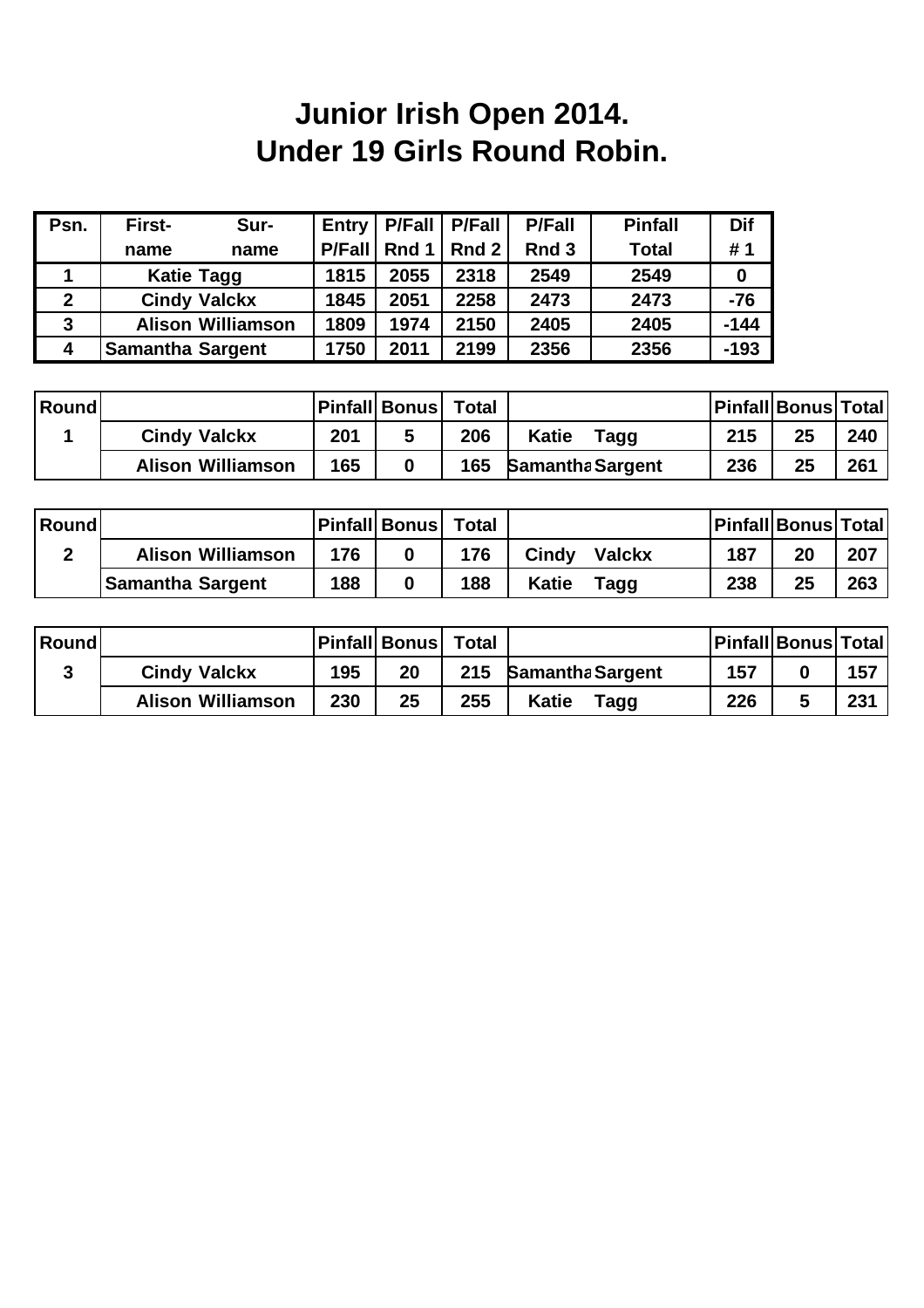# **Junior Irish Open 2014. Under 19 Girls Round Robin.**

| Psn. | First-<br>Sur-           | <b>Entry</b>  | <b>P/Fall</b> | <b>P/Fall</b> | <b>P/Fall</b>    | <b>Pinfall</b> | <b>Dif</b> |
|------|--------------------------|---------------|---------------|---------------|------------------|----------------|------------|
|      | name<br>name             | <b>P/Fall</b> | Rnd 1         | Rnd $2$       | Rnd <sub>3</sub> | <b>Total</b>   | #1         |
|      | <b>Katie Tagg</b>        | 1815          | 2055          | 2318          | 2549             | 2549           | 0          |
| 2    | <b>Cindy Valckx</b>      | 1845          | 2051          | 2258          | 2473             | 2473           | $-76$      |
| 3    | <b>Alison Williamson</b> | 1809          | 1974          | 2150          | 2405             | 2405           | $-144$     |
| 4    | <b>Samantha Sargent</b>  | 1750          | 2011          | 2199          | 2356             | 2356           | $-193$     |

| <b>Round</b> |                          |     | <b>Pinfall Bonus</b> | <b>Total</b> |                         |     | <b>Pinfall Bonus Total</b> |     |
|--------------|--------------------------|-----|----------------------|--------------|-------------------------|-----|----------------------------|-----|
|              | <b>Cindy Valckx</b>      | 201 |                      | 206          | <b>Katie</b><br>Tagg    | 215 | 25                         | 240 |
|              | <b>Alison Williamson</b> | 165 |                      | 165          | <b>Samantha Sargent</b> | 236 | 25                         | 261 |

| Round |                          |     | <b>Pinfall Bonus</b> | <b>Total</b> |                        |     | <b>Pinfall Bonus Total</b> |     |
|-------|--------------------------|-----|----------------------|--------------|------------------------|-----|----------------------------|-----|
|       | <b>Alison Williamson</b> | 176 |                      | 176          | Cindy<br><b>Valckx</b> | 187 | 20                         | 207 |
|       | <b>Samantha Sargent</b>  | 188 |                      | 188          | <b>Katie</b><br>Tagg   | 238 | 25                         | 263 |

| Round |                          |     | <b>Pinfall Bonus</b> | <b>Total</b> |                         |     | <b>Pinfall Bonus Total</b> |     |
|-------|--------------------------|-----|----------------------|--------------|-------------------------|-----|----------------------------|-----|
|       | <b>Cindy Valckx</b>      | 195 | 20                   | 215          | <b>Samantha Sargent</b> | 157 |                            | 157 |
|       | <b>Alison Williamson</b> | 230 | 25                   | 255          | Katie<br>Tagg           | 226 |                            | 231 |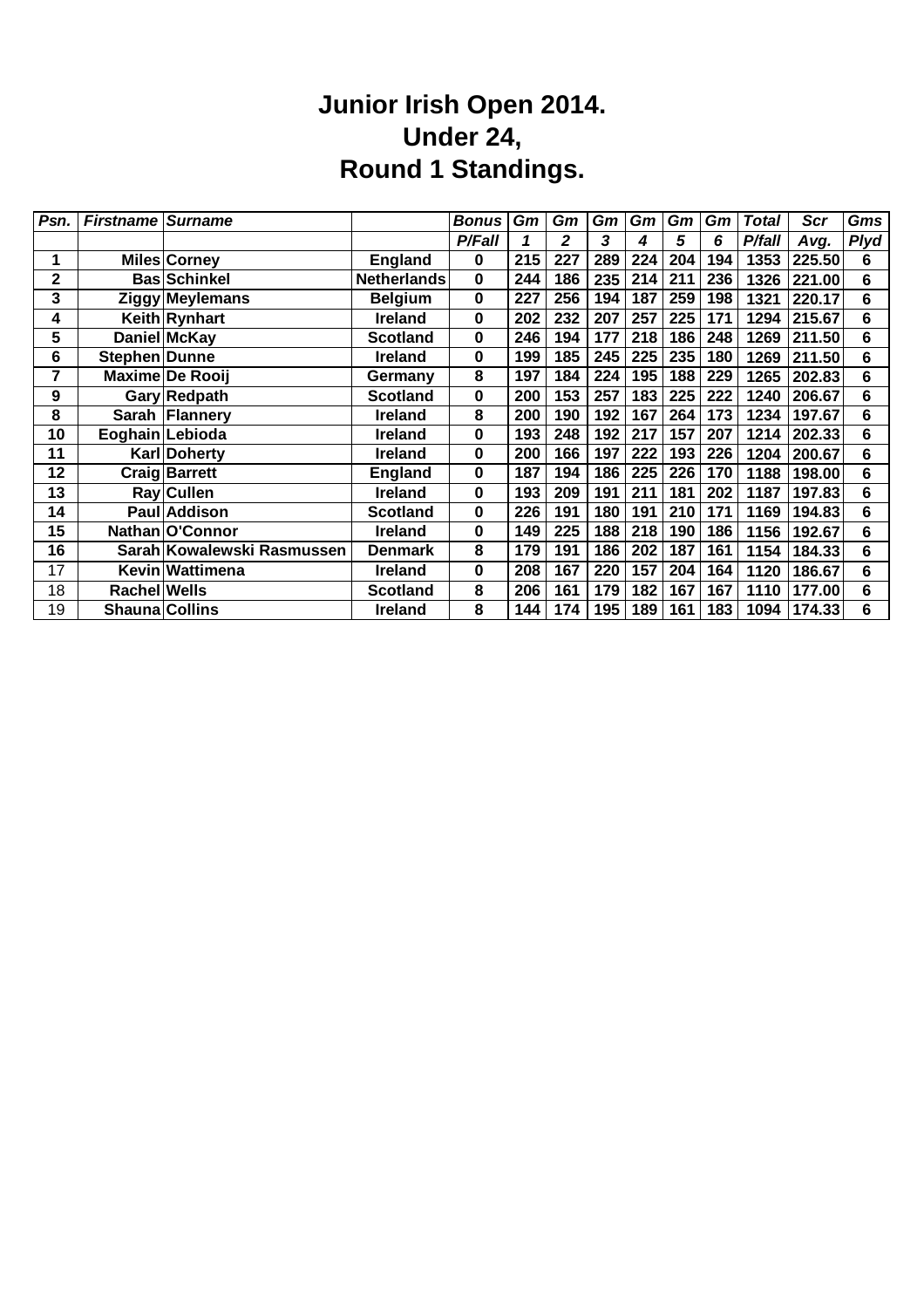#### **Junior Irish Open 2014. Under 24, Round 1 Standings.**

| Psn. | <b>Firstname Surname</b> |                            |                    | <b>Bonus</b>  | Gm  | Gm  | Gm  | Gm  | Gm  | Gm  | <b>Total</b> | <b>Scr</b> | Gms         |
|------|--------------------------|----------------------------|--------------------|---------------|-----|-----|-----|-----|-----|-----|--------------|------------|-------------|
|      |                          |                            |                    | <b>P/Fall</b> |     | 2   | 3   | 4   | 5   | 6   | P/fall       | Avg.       | <b>Plyd</b> |
|      |                          | <b>Miles Corney</b>        | <b>England</b>     | $\bf{0}$      | 215 | 227 | 289 | 224 | 204 | 194 | 1353         | 225.50     | 6           |
| 2    |                          | <b>Bas Schinkel</b>        | <b>Netherlands</b> | $\bf{0}$      | 244 | 186 | 235 | 214 | 211 | 236 | 1326         | 221.00     | 6           |
| 3    |                          | <b>Ziggy Meylemans</b>     | <b>Belgium</b>     | $\mathbf 0$   | 227 | 256 | 194 | 187 | 259 | 198 | 1321         | 220.17     | 6           |
| 4    |                          | Keith Rynhart              | <b>Ireland</b>     | $\mathbf 0$   | 202 | 232 | 207 | 257 | 225 | 171 | 1294         | 215.67     | 6           |
| 5    |                          | Daniel McKay               | <b>Scotland</b>    | $\bf{0}$      | 246 | 194 | 177 | 218 | 186 | 248 | 1269         | 211.50     | 6           |
| 6    | Stephen Dunne            |                            | <b>Ireland</b>     | $\mathbf 0$   | 199 | 185 | 245 | 225 | 235 | 180 | 1269         | 211.50     | 6           |
| 7    |                          | Maxime De Rooij            | Germany            | 8             | 197 | 184 | 224 | 195 | 188 | 229 | 1265         | 202.83     | 6           |
| 9    |                          | Gary Redpath               | <b>Scotland</b>    | $\mathbf 0$   | 200 | 153 | 257 | 183 | 225 | 222 | 1240         | 206.67     | 6           |
| 8    |                          | Sarah Flannery             | Ireland            | 8             | 200 | 190 | 192 | 167 | 264 | 173 | 1234         | 197.67     | 6           |
| 10   |                          | Eoghain Lebioda            | <b>Ireland</b>     | 0             | 193 | 248 | 192 | 217 | 157 | 207 | 1214         | 202.33     | 6           |
| 11   |                          | <b>Karl Doherty</b>        | <b>Ireland</b>     | $\mathbf 0$   | 200 | 166 | 197 | 222 | 193 | 226 | 1204         | 200.67     | 6           |
| 12   |                          | <b>Craig Barrett</b>       | <b>England</b>     | 0             | 187 | 194 | 186 | 225 | 226 | 170 | 1188         | 198.00     | 6           |
| 13   |                          | Ray Cullen                 | <b>Ireland</b>     | $\bf{0}$      | 193 | 209 | 191 | 211 | 181 | 202 | 1187         | 197.83     | 6           |
| 14   |                          | Paul Addison               | <b>Scotland</b>    | 0             | 226 | 191 | 180 | 191 | 210 | 171 | 1169         | 194.83     | 6           |
| 15   |                          | Nathan O'Connor            | <b>Ireland</b>     | $\mathbf 0$   | 149 | 225 | 188 | 218 | 190 | 186 | 1156         | 192.67     | 6           |
| 16   |                          | Sarah Kowalewski Rasmussen | <b>Denmark</b>     | 8             | 179 | 191 | 186 | 202 | 187 | 161 | 1154         | 184.33     | 6           |
| 17   |                          | Kevin Wattimena            | <b>Ireland</b>     | $\mathbf 0$   | 208 | 167 | 220 | 157 | 204 | 164 | 1120         | 186.67     | 6           |
| 18   | Rachel Wells             |                            | <b>Scotland</b>    | 8             | 206 | 161 | 179 | 182 | 167 | 167 | 1110         | 177.00     | 6           |
| 19   | <b>Shauna Collins</b>    |                            | <b>Ireland</b>     | 8             | 144 | 174 | 195 | 189 | 161 | 183 | 1094         | 174.33     | 6           |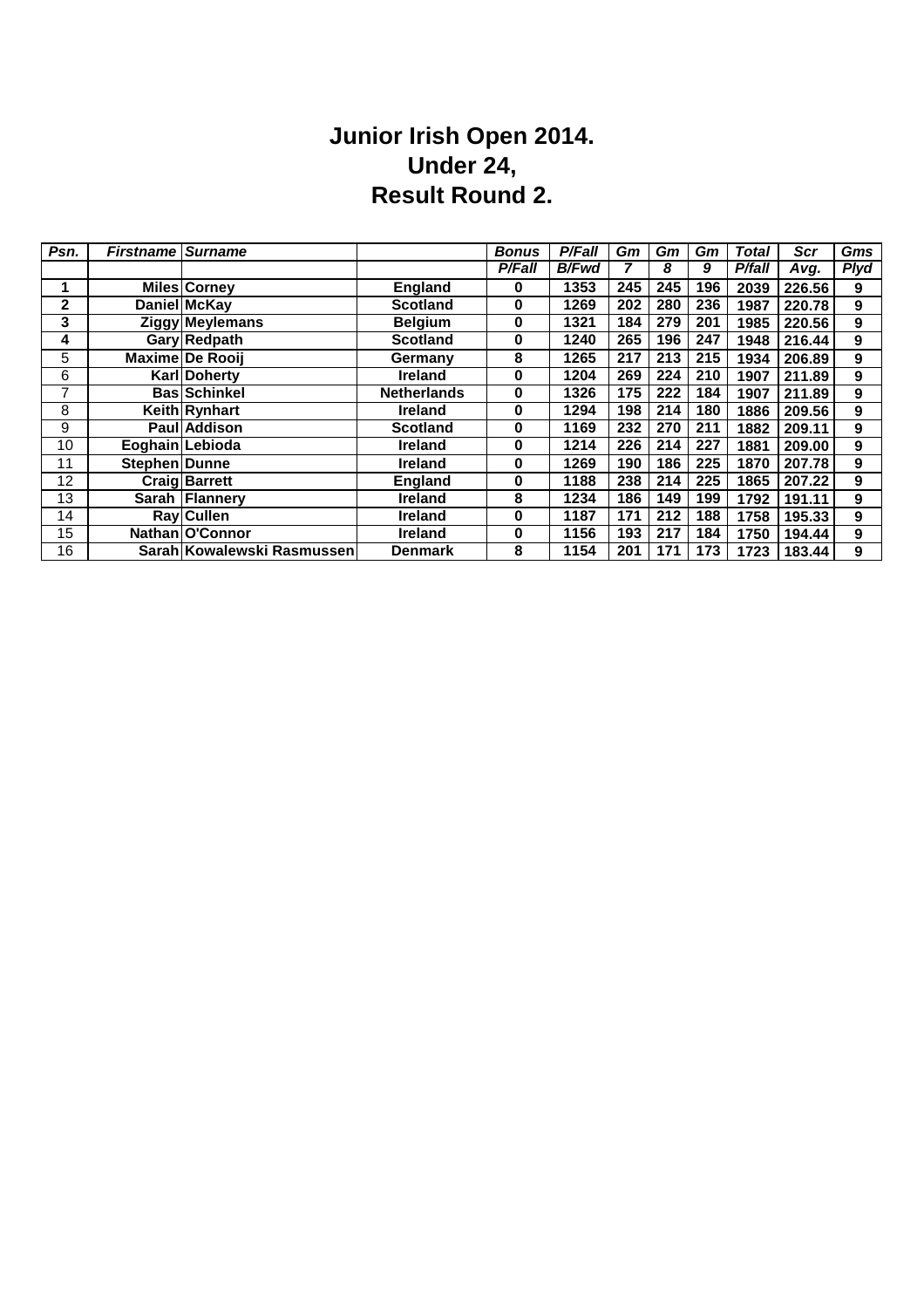#### **Junior Irish Open 2014. Under 24, Result Round 2.**

| Psn. | <b>Firstname</b> | <b>Surname</b>             |                    | <b>Bonus</b> | P/Fall       | Gm  | Gm  | Gm  | Total  | Scr    | Gms         |
|------|------------------|----------------------------|--------------------|--------------|--------------|-----|-----|-----|--------|--------|-------------|
|      |                  |                            |                    | P/Fall       | <b>B/Fwd</b> |     | 8   | 9   | P/fall | Avg.   | <b>Plyd</b> |
| 1    |                  | <b>Miles Corney</b>        | <b>England</b>     | 0            | 1353         | 245 | 245 | 196 | 2039   | 226.56 | 9           |
| 2    |                  | Daniel McKay               | <b>Scotland</b>    | 0            | 1269         | 202 | 280 | 236 | 1987   | 220.78 | 9           |
| 3    |                  | <b>Ziggy Meylemans</b>     | <b>Belgium</b>     | 0            | 1321         | 184 | 279 | 201 | 1985   | 220.56 | 9           |
| 4    |                  | <b>Gary Redpath</b>        | <b>Scotland</b>    | 0            | 1240         | 265 | 196 | 247 | 1948   | 216.44 | 9           |
| 5    |                  | <b>Maxime De Rooii</b>     | Germany            | 8            | 1265         | 217 | 213 | 215 | 1934   | 206.89 | 9           |
| 6    |                  | Karl Doherty               | <b>Ireland</b>     | 0            | 1204         | 269 | 224 | 210 | 1907   | 211.89 | 9           |
| 7    |                  | <b>Bas Schinkel</b>        | <b>Netherlands</b> | 0            | 1326         | 175 | 222 | 184 | 1907   | 211.89 | 9           |
| 8    |                  | <b>Keith Rynhart</b>       | <b>Ireland</b>     | 0            | 1294         | 198 | 214 | 180 | 1886   | 209.56 | 9           |
| 9    |                  | Paul Addison               | <b>Scotland</b>    | 0            | 1169         | 232 | 270 | 211 | 1882   | 209.11 | 9           |
| 10   |                  | Eoghain Lebioda            | <b>Ireland</b>     | 0            | 1214         | 226 | 214 | 227 | 1881   | 209.00 | 9           |
| 11   | Stephen Dunne    |                            | Ireland            | 0            | 1269         | 190 | 186 | 225 | 1870   | 207.78 | 9           |
| 12   |                  | <b>Craig Barrett</b>       | <b>England</b>     | 0            | 1188         | 238 | 214 | 225 | 1865   | 207.22 | 9           |
| 13   |                  | Sarah Flannery             | <b>Ireland</b>     | 8            | 1234         | 186 | 149 | 199 | 1792   | 191.11 | 9           |
| 14   |                  | <b>Ray Cullen</b>          | <b>Ireland</b>     | 0            | 1187         | 171 | 212 | 188 | 1758   | 195.33 | 9           |
| 15   |                  | Nathan O'Connor            | <b>Ireland</b>     | 0            | 1156         | 193 | 217 | 184 | 1750   | 194.44 | 9           |
| 16   |                  | Sarah Kowalewski Rasmussen | Denmark            | 8            | 1154         | 201 | 171 | 173 | 1723   | 183.44 | 9           |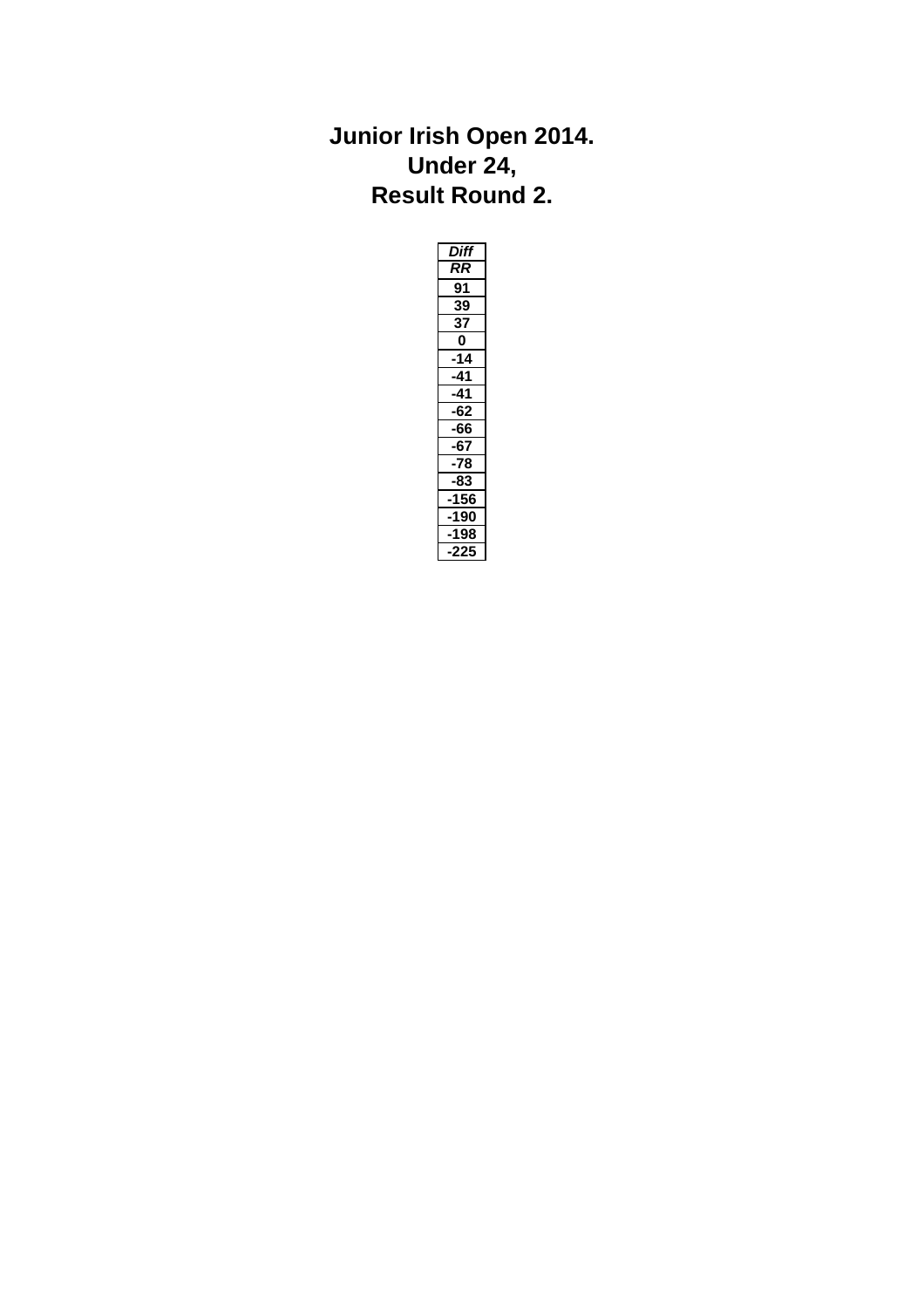#### **Junior Irish Open 2014. Under 24, Result Round 2.**

| <b>Diff</b>  |  |
|--------------|--|
| RR           |  |
| 91           |  |
| 39           |  |
| 37           |  |
| $\mathbf{0}$ |  |
| 14           |  |
| 41           |  |
| 41           |  |
| 62           |  |
| 66           |  |
| 67           |  |
| 78           |  |
| 83           |  |
| 156          |  |
| 90           |  |
| 198          |  |
| 225          |  |